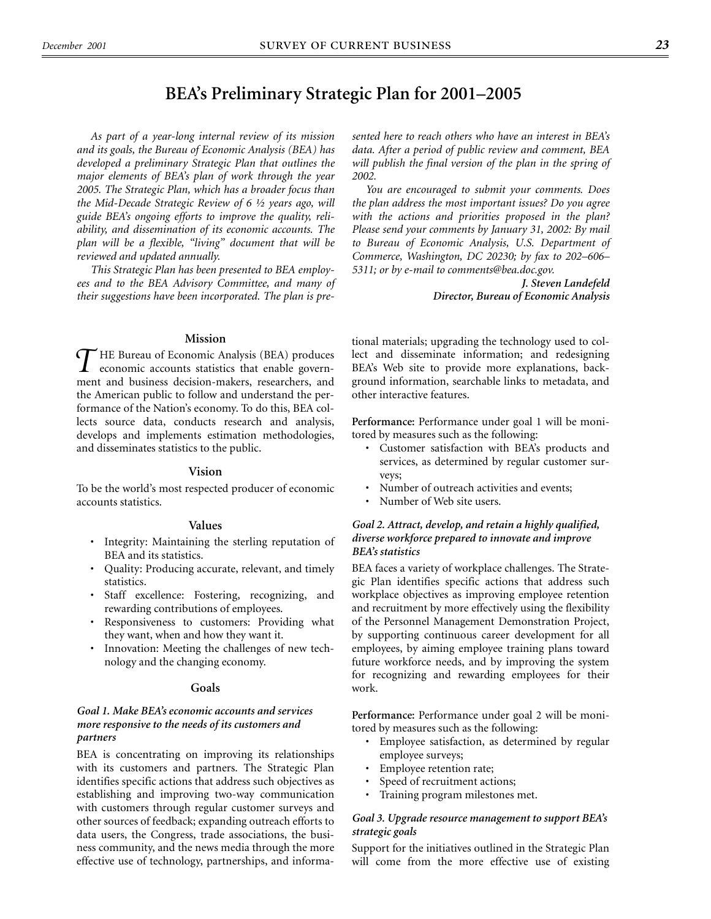## **BEA's Preliminary Strategic Plan for 2001–2005**

*As part of a year-long internal review of its mission and its goals, the Bureau of Economic Analysis (BEA) has developed a preliminary Strategic Plan that outlines the major elements of BEA's plan of work through the year 2005. The Strategic Plan, which has a broader focus than the Mid-Decade Strategic Review of 6 ½ years ago, will guide BEA's ongoing efforts to improve the quality, reliability, and dissemination of its economic accounts. The plan will be a flexible, "living" document that will be reviewed and updated annually.*

*This Strategic Plan has been presented to BEA employees and to the BEA Advisory Committee, and many of their suggestions have been incorporated. The plan is pre-*

#### **Mission**

HE Bureau of Economic Analysis (BEA) produces THE Bureau of Economic Analysis (BEA) produces<br>
economic accounts statistics that enable govern-<br> *T* ment and business decision-makers, researchers, and the American public to follow and understand the performance of the Nation's economy. To do this, BEA collects source data, conducts research and analysis, develops and implements estimation methodologies, and disseminates statistics to the public.

#### **Vision**

To be the world's most respected producer of economic accounts statistics.

#### **Values**

- Integrity: Maintaining the sterling reputation of BEA and its statistics.
- Quality: Producing accurate, relevant, and timely statistics.
- Staff excellence: Fostering, recognizing, and rewarding contributions of employees.
- Responsiveness to customers: Providing what they want, when and how they want it.
- Innovation: Meeting the challenges of new technology and the changing economy.

#### **Goals**

#### *Goal 1. Make BEA's economic accounts and services more responsive to the needs of its customers and partners*

BEA is concentrating on improving its relationships with its customers and partners. The Strategic Plan identifies specific actions that address such objectives as establishing and improving two-way communication with customers through regular customer surveys and other sources of feedback; expanding outreach efforts to data users, the Congress, trade associations, the business community, and the news media through the more effective use of technology, partnerships, and informa*sented here to reach others who have an interest in BEA's data. After a period of public review and comment, BEA will publish the final version of the plan in the spring of 2002.*

*You are encouraged to submit your comments. Does the plan address the most important issues? Do you agree with the actions and priorities proposed in the plan? Please send your comments by January 31, 2002: By mail to Bureau of Economic Analysis, U.S. Department of Commerce, Washington, DC 20230; by fax to 202–606– 5311; or by e-mail to comments@bea.doc.gov.*

> *J. Steven Landefeld Director, Bureau of Economic Analysis*

tional materials; upgrading the technology used to collect and disseminate information; and redesigning BEA's Web site to provide more explanations, background information, searchable links to metadata, and other interactive features.

**Performance:** Performance under goal 1 will be monitored by measures such as the following:

- Customer satisfaction with BEA's products and services, as determined by regular customer surveys;
- Number of outreach activities and events;
- Number of Web site users.

#### *Goal 2. Attract, develop, and retain a highly qualified, diverse workforce prepared to innovate and improve BEA's statistics*

BEA faces a variety of workplace challenges. The Strategic Plan identifies specific actions that address such workplace objectives as improving employee retention and recruitment by more effectively using the flexibility of the Personnel Management Demonstration Project, by supporting continuous career development for all employees, by aiming employee training plans toward future workforce needs, and by improving the system for recognizing and rewarding employees for their work.

**Performance:** Performance under goal 2 will be monitored by measures such as the following:

- Employee satisfaction, as determined by regular employee surveys;
- Employee retention rate;
- Speed of recruitment actions;
- Training program milestones met.

#### *Goal 3. Upgrade resource management to support BEA's strategic goals*

Support for the initiatives outlined in the Strategic Plan will come from the more effective use of existing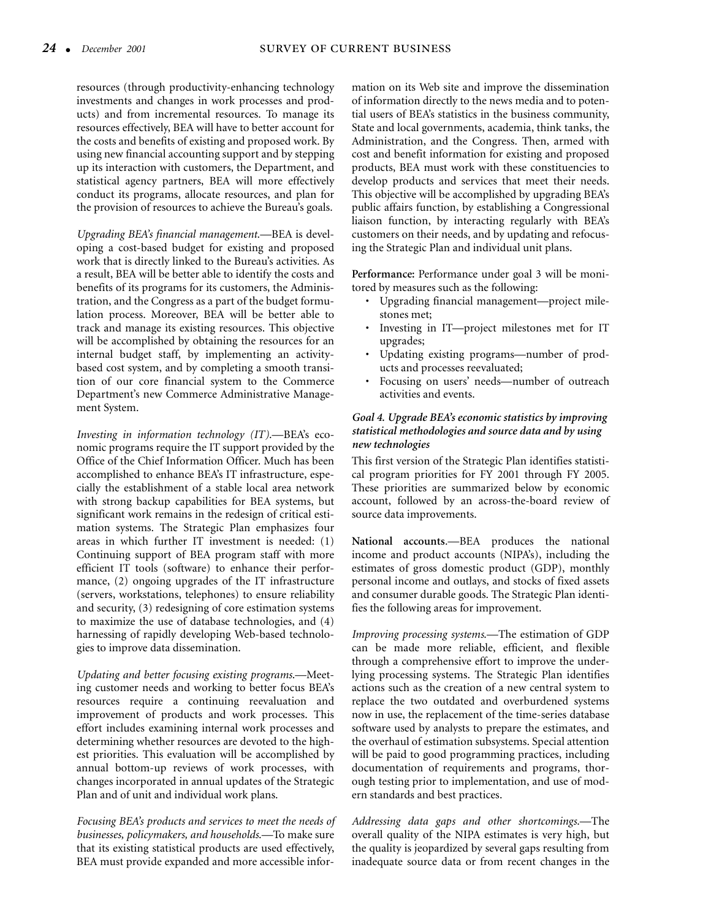resources (through productivity-enhancing technology investments and changes in work processes and products) and from incremental resources. To manage its resources effectively, BEA will have to better account for the costs and benefits of existing and proposed work. By using new financial accounting support and by stepping up its interaction with customers, the Department, and statistical agency partners, BEA will more effectively conduct its programs, allocate resources, and plan for the provision of resources to achieve the Bureau's goals.

*Upgrading BEA's financial management*.—BEA is developing a cost-based budget for existing and proposed work that is directly linked to the Bureau's activities. As a result, BEA will be better able to identify the costs and benefits of its programs for its customers, the Administration, and the Congress as a part of the budget formulation process. Moreover, BEA will be better able to track and manage its existing resources. This objective will be accomplished by obtaining the resources for an internal budget staff, by implementing an activitybased cost system, and by completing a smooth transition of our core financial system to the Commerce Department's new Commerce Administrative Management System.

*Investing in information technology (IT)*.—BEA's economic programs require the IT support provided by the Office of the Chief Information Officer. Much has been accomplished to enhance BEA's IT infrastructure, especially the establishment of a stable local area network with strong backup capabilities for BEA systems, but significant work remains in the redesign of critical estimation systems. The Strategic Plan emphasizes four areas in which further IT investment is needed: (1) Continuing support of BEA program staff with more efficient IT tools (software) to enhance their performance, (2) ongoing upgrades of the IT infrastructure (servers, workstations, telephones) to ensure reliability and security, (3) redesigning of core estimation systems to maximize the use of database technologies, and (4) harnessing of rapidly developing Web-based technologies to improve data dissemination.

*Updating and better focusing existing programs*.—Meeting customer needs and working to better focus BEA's resources require a continuing reevaluation and improvement of products and work processes. This effort includes examining internal work processes and determining whether resources are devoted to the highest priorities. This evaluation will be accomplished by annual bottom-up reviews of work processes, with changes incorporated in annual updates of the Strategic Plan and of unit and individual work plans.

*Focusing BEA's products and services to meet the needs of businesses, policymakers, and households*.—To make sure that its existing statistical products are used effectively, BEA must provide expanded and more accessible infor-

mation on its Web site and improve the dissemination of information directly to the news media and to potential users of BEA's statistics in the business community, State and local governments, academia, think tanks, the Administration, and the Congress. Then, armed with cost and benefit information for existing and proposed products, BEA must work with these constituencies to develop products and services that meet their needs. This objective will be accomplished by upgrading BEA's public affairs function, by establishing a Congressional liaison function, by interacting regularly with BEA's customers on their needs, and by updating and refocusing the Strategic Plan and individual unit plans.

**Performance:** Performance under goal 3 will be monitored by measures such as the following:

- Upgrading financial management—project milestones met;
- Investing in IT—project milestones met for IT upgrades;
- Updating existing programs—number of products and processes reevaluated;
- Focusing on users' needs—number of outreach activities and events.

### *Goal 4. Upgrade BEA's economic statistics by improving statistical methodologies and source data and by using new technologies*

This first version of the Strategic Plan identifies statistical program priorities for FY 2001 through FY 2005. These priorities are summarized below by economic account, followed by an across-the-board review of source data improvements.

**National accounts**.—BEA produces the national income and product accounts (NIPA's), including the estimates of gross domestic product (GDP), monthly personal income and outlays, and stocks of fixed assets and consumer durable goods. The Strategic Plan identifies the following areas for improvement.

*Improving processing systems*.—The estimation of GDP can be made more reliable, efficient, and flexible through a comprehensive effort to improve the underlying processing systems. The Strategic Plan identifies actions such as the creation of a new central system to replace the two outdated and overburdened systems now in use, the replacement of the time-series database software used by analysts to prepare the estimates, and the overhaul of estimation subsystems. Special attention will be paid to good programming practices, including documentation of requirements and programs, thorough testing prior to implementation, and use of modern standards and best practices.

*Addressing data gaps and other shortcomings*.—The overall quality of the NIPA estimates is very high, but the quality is jeopardized by several gaps resulting from inadequate source data or from recent changes in the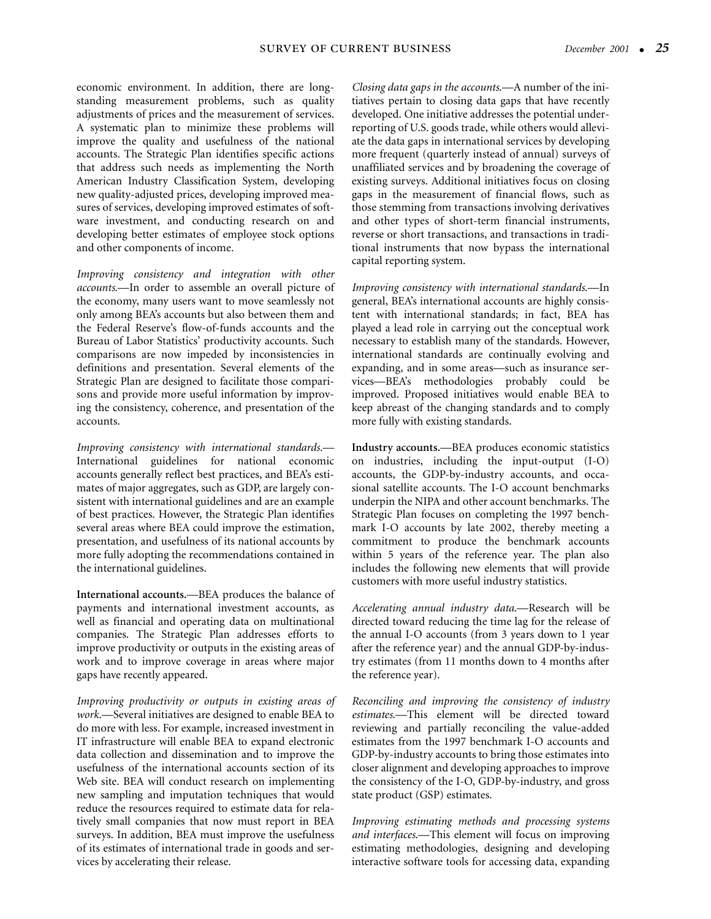economic environment. In addition, there are longstanding measurement problems, such as quality adjustments of prices and the measurement of services. A systematic plan to minimize these problems will improve the quality and usefulness of the national accounts. The Strategic Plan identifies specific actions that address such needs as implementing the North American Industry Classification System, developing new quality-adjusted prices, developing improved measures of services, developing improved estimates of software investment, and conducting research on and developing better estimates of employee stock options and other components of income.

*Improving consistency and integration with other accounts*.—In order to assemble an overall picture of the economy, many users want to move seamlessly not only among BEA's accounts but also between them and the Federal Reserve's flow-of-funds accounts and the Bureau of Labor Statistics' productivity accounts. Such comparisons are now impeded by inconsistencies in definitions and presentation. Several elements of the Strategic Plan are designed to facilitate those comparisons and provide more useful information by improving the consistency, coherence, and presentation of the accounts.

*Improving consistency with international standards*.— International guidelines for national economic accounts generally reflect best practices, and BEA's estimates of major aggregates, such as GDP, are largely consistent with international guidelines and are an example of best practices. However, the Strategic Plan identifies several areas where BEA could improve the estimation, presentation, and usefulness of its national accounts by more fully adopting the recommendations contained in the international guidelines.

**International accounts.**—BEA produces the balance of payments and international investment accounts, as well as financial and operating data on multinational companies. The Strategic Plan addresses efforts to improve productivity or outputs in the existing areas of work and to improve coverage in areas where major gaps have recently appeared.

*Improving productivity or outputs in existing areas of work*.—Several initiatives are designed to enable BEA to do more with less. For example, increased investment in IT infrastructure will enable BEA to expand electronic data collection and dissemination and to improve the usefulness of the international accounts section of its Web site. BEA will conduct research on implementing new sampling and imputation techniques that would reduce the resources required to estimate data for relatively small companies that now must report in BEA surveys. In addition, BEA must improve the usefulness of its estimates of international trade in goods and services by accelerating their release.

*Closing data gaps in the accounts*.—A number of the initiatives pertain to closing data gaps that have recently developed. One initiative addresses the potential underreporting of U.S. goods trade, while others would alleviate the data gaps in international services by developing more frequent (quarterly instead of annual) surveys of unaffiliated services and by broadening the coverage of existing surveys. Additional initiatives focus on closing gaps in the measurement of financial flows, such as those stemming from transactions involving derivatives and other types of short-term financial instruments, reverse or short transactions, and transactions in traditional instruments that now bypass the international capital reporting system.

*Improving consistency with international standards*.—In general, BEA's international accounts are highly consistent with international standards; in fact, BEA has played a lead role in carrying out the conceptual work necessary to establish many of the standards. However, international standards are continually evolving and expanding, and in some areas—such as insurance services—BEA's methodologies probably could be improved. Proposed initiatives would enable BEA to keep abreast of the changing standards and to comply more fully with existing standards.

**Industry accounts.**—BEA produces economic statistics on industries, including the input-output (I-O) accounts, the GDP-by-industry accounts, and occasional satellite accounts. The I-O account benchmarks underpin the NIPA and other account benchmarks. The Strategic Plan focuses on completing the 1997 benchmark I-O accounts by late 2002, thereby meeting a commitment to produce the benchmark accounts within 5 years of the reference year. The plan also includes the following new elements that will provide customers with more useful industry statistics.

*Accelerating annual industry data*.—Research will be directed toward reducing the time lag for the release of the annual I-O accounts (from 3 years down to 1 year after the reference year) and the annual GDP-by-industry estimates (from 11 months down to 4 months after the reference year).

*Reconciling and improving the consistency of industry estimates*.—This element will be directed toward reviewing and partially reconciling the value-added estimates from the 1997 benchmark I-O accounts and GDP-by-industry accounts to bring those estimates into closer alignment and developing approaches to improve the consistency of the I-O, GDP-by-industry, and gross state product (GSP) estimates.

*Improving estimating methods and processing systems and interfaces*.—This element will focus on improving estimating methodologies, designing and developing interactive software tools for accessing data, expanding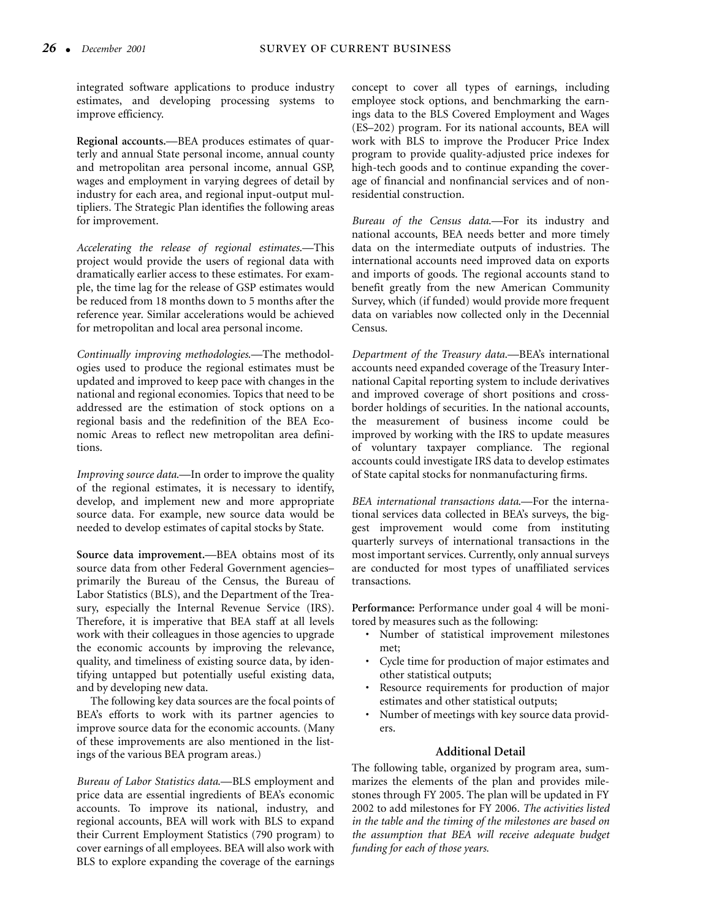integrated software applications to produce industry estimates, and developing processing systems to improve efficiency.

**Regional accounts.**—BEA produces estimates of quarterly and annual State personal income, annual county and metropolitan area personal income, annual GSP, wages and employment in varying degrees of detail by industry for each area, and regional input-output multipliers. The Strategic Plan identifies the following areas for improvement.

*Accelerating the release of regional estimates*.—This project would provide the users of regional data with dramatically earlier access to these estimates. For example, the time lag for the release of GSP estimates would be reduced from 18 months down to 5 months after the reference year. Similar accelerations would be achieved for metropolitan and local area personal income.

*Continually improving methodologies*.—The methodologies used to produce the regional estimates must be updated and improved to keep pace with changes in the national and regional economies. Topics that need to be addressed are the estimation of stock options on a regional basis and the redefinition of the BEA Economic Areas to reflect new metropolitan area definitions.

*Improving source data*.—In order to improve the quality of the regional estimates, it is necessary to identify, develop, and implement new and more appropriate source data. For example, new source data would be needed to develop estimates of capital stocks by State.

**Source data improvement.**—BEA obtains most of its source data from other Federal Government agencies– primarily the Bureau of the Census, the Bureau of Labor Statistics (BLS), and the Department of the Treasury, especially the Internal Revenue Service (IRS). Therefore, it is imperative that BEA staff at all levels work with their colleagues in those agencies to upgrade the economic accounts by improving the relevance, quality, and timeliness of existing source data, by identifying untapped but potentially useful existing data, and by developing new data.

The following key data sources are the focal points of BEA's efforts to work with its partner agencies to improve source data for the economic accounts. (Many of these improvements are also mentioned in the listings of the various BEA program areas.)

*Bureau of Labor Statistics data*.—BLS employment and price data are essential ingredients of BEA's economic accounts. To improve its national, industry, and regional accounts, BEA will work with BLS to expand their Current Employment Statistics (790 program) to cover earnings of all employees. BEA will also work with BLS to explore expanding the coverage of the earnings

concept to cover all types of earnings, including employee stock options, and benchmarking the earnings data to the BLS Covered Employment and Wages (ES–202) program. For its national accounts, BEA will work with BLS to improve the Producer Price Index program to provide quality-adjusted price indexes for high-tech goods and to continue expanding the coverage of financial and nonfinancial services and of nonresidential construction.

*Bureau of the Census data*.—For its industry and national accounts, BEA needs better and more timely data on the intermediate outputs of industries. The international accounts need improved data on exports and imports of goods. The regional accounts stand to benefit greatly from the new American Community Survey, which (if funded) would provide more frequent data on variables now collected only in the Decennial Census.

*Department of the Treasury data*.—BEA's international accounts need expanded coverage of the Treasury International Capital reporting system to include derivatives and improved coverage of short positions and crossborder holdings of securities. In the national accounts, the measurement of business income could be improved by working with the IRS to update measures of voluntary taxpayer compliance. The regional accounts could investigate IRS data to develop estimates of State capital stocks for nonmanufacturing firms.

*BEA international transactions data*.—For the international services data collected in BEA's surveys, the biggest improvement would come from instituting quarterly surveys of international transactions in the most important services. Currently, only annual surveys are conducted for most types of unaffiliated services transactions.

**Performance:** Performance under goal 4 will be monitored by measures such as the following:

- Number of statistical improvement milestones met;
- Cycle time for production of major estimates and other statistical outputs;
- Resource requirements for production of major estimates and other statistical outputs;
- Number of meetings with key source data providers.

#### **Additional Detail**

The following table, organized by program area, summarizes the elements of the plan and provides milestones through FY 2005. The plan will be updated in FY 2002 to add milestones for FY 2006. *The activities listed in the table and the timing of the milestones are based on the assumption that BEA will receive adequate budget funding for each of those years.*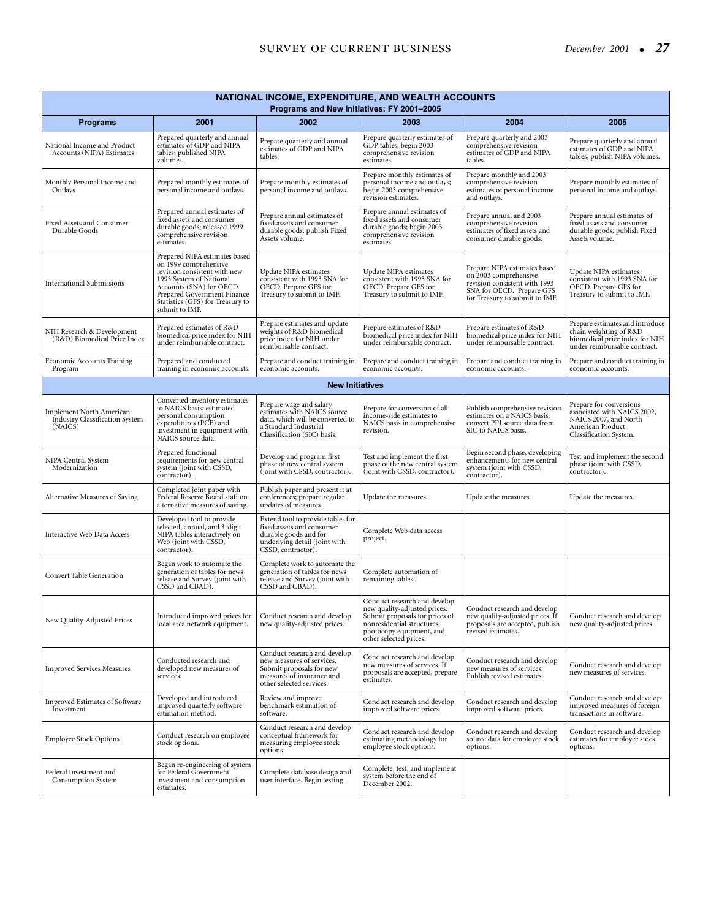| NATIONAL INCOME, EXPENDITURE, AND WEALTH ACCOUNTS<br>Programs and New Initiatives: FY 2001-2005 |                                                                                                                                                                                                                                    |                                                                                                                                                    |                                                                                                                                                                                    |                                                                                                                                                       |                                                                                                                               |  |  |
|-------------------------------------------------------------------------------------------------|------------------------------------------------------------------------------------------------------------------------------------------------------------------------------------------------------------------------------------|----------------------------------------------------------------------------------------------------------------------------------------------------|------------------------------------------------------------------------------------------------------------------------------------------------------------------------------------|-------------------------------------------------------------------------------------------------------------------------------------------------------|-------------------------------------------------------------------------------------------------------------------------------|--|--|
| <b>Programs</b>                                                                                 | 2001                                                                                                                                                                                                                               | 2002                                                                                                                                               | 2003                                                                                                                                                                               | 2004                                                                                                                                                  | 2005                                                                                                                          |  |  |
| National Income and Product<br>Accounts (NIPA) Estimates                                        | Prepared quarterly and annual<br>estimates of GDP and NIPA<br>tables; published NIPA<br>volumes.                                                                                                                                   | Prepare quarterly and annual<br>estimates of GDP and NIPA<br>tables.                                                                               | Prepare quarterly estimates of<br>GDP tables; begin 2003<br>comprehensive revision<br>estimates.                                                                                   | Prepare quarterly and 2003<br>comprehensive revision<br>estimates of GDP and NIPA<br>tables.                                                          | Prepare quarterly and annual<br>estimates of GDP and NIPA<br>tables; publish NIPA volumes.                                    |  |  |
| Monthly Personal Income and<br>Outlays                                                          | Prepared monthly estimates of<br>personal income and outlays.                                                                                                                                                                      | Prepare monthly estimates of<br>personal income and outlays.                                                                                       | Prepare monthly estimates of<br>personal income and outlays;<br>begin 2003 comprehensive<br>revision estimates.                                                                    | Prepare monthly and 2003<br>comprehensive revision<br>estimates of personal income<br>and outlays.                                                    | Prepare monthly estimates of<br>personal income and outlays.                                                                  |  |  |
| Fixed Assets and Consumer<br>Durable Goods                                                      | Prepared annual estimates of<br>fixed assets and consumer<br>durable goods; released 1999<br>comprehensive revision<br>estimates.                                                                                                  | Prepare annual estimates of<br>fixed assets and consumer<br>durable goods; publish Fixed<br>Assets volume.                                         | Prepare annual estimates of<br>fixed assets and consumer<br>durable goods; begin 2003<br>comprehensive revision<br>estimates.                                                      | Prepare annual and 2003<br>comprehensive revision<br>estimates of fixed assets and<br>consumer durable goods.                                         | Prepare annual estimates of<br>fixed assets and consumer<br>durable goods; publish Fixed<br>Assets volume.                    |  |  |
| <b>International Submissions</b>                                                                | Prepared NIPA estimates based<br>on 1999 comprehensive<br>revision consistent with new<br>1993 System of National<br>Accounts (SNA) for OECD.<br>Prepared Government Finance<br>Statistics (GFS) for Treasury to<br>submit to IMF. | Update NIPA estimates<br>consistent with 1993 SNA for<br>OECD. Prepare GFS for<br>Treasury to submit to IMF.                                       | Update NIPA estimates<br>consistent with 1993 SNA for<br>OECD. Prepare GFS for<br>Treasury to submit to IMF.                                                                       | Prepare NIPA estimates based<br>on 2003 comprehensive<br>revision consistent with 1993<br>SNA for OECD. Prepare GFS<br>for Treasury to submit to IMF. | Update NIPA estimates<br>consistent with 1993 SNA for<br>OECD. Prepare GFS for<br>Treasury to submit to IMF.                  |  |  |
| NIH Research & Development<br>(R&D) Biomedical Price Index                                      | Prepared estimates of R&D<br>biomedical price index for NIH<br>under reimbursable contract.                                                                                                                                        | Prepare estimates and update<br>weights of R&D biomedical<br>price index for NIH under<br>reimbursable contract.                                   | Prepare estimates of R&D<br>biomedical price index for NIH<br>under reimbursable contract.                                                                                         | Prepare estimates of R&D<br>biomedical price index for NIH<br>under reimbursable contract.                                                            | Prepare estimates and introduce<br>chain weighting of R&D<br>biomedical price index for NIH<br>under reimbursable contract.   |  |  |
| <b>Economic Accounts Training</b><br>Program                                                    | Prepared and conducted<br>training in economic accounts.                                                                                                                                                                           | Prepare and conduct training in<br>economic accounts.                                                                                              | Prepare and conduct training in<br>economic accounts.                                                                                                                              | Prepare and conduct training in<br>economic accounts.                                                                                                 | Prepare and conduct training in<br>economic accounts.                                                                         |  |  |
|                                                                                                 |                                                                                                                                                                                                                                    | <b>New Initiatives</b>                                                                                                                             |                                                                                                                                                                                    |                                                                                                                                                       |                                                                                                                               |  |  |
| Implement North American<br><b>Industry Classification System</b><br>(NAICS)                    | Converted inventory estimates<br>to NAICS basis; estimated<br>personal consumption<br>expenditures (PCE) and<br>investment in equipment with<br>NAICS source data.                                                                 | Prepare wage and salary<br>estimates with NAICS source<br>data, which will be converted to<br>a Standard Industrial<br>Classification (SIC) basis. | Prepare for conversion of all<br>income-side estimates to<br>NAICS basis in comprehensive<br>revision.                                                                             | Publish comprehensive revision<br>estimates on a NAICS basis;<br>convert PPI source data from<br>SIC to NAICS basis.                                  | Prepare for conversions<br>associated with NAICS 2002,<br>NAICS 2007, and North<br>American Product<br>Classification System. |  |  |
| NIPA Central System<br>Modernization                                                            | Prepared functional<br>requirements for new central<br>system (joint with CSSD,<br>contractor).                                                                                                                                    | Develop and program first<br>phase of new central system<br>(joint with CSSD, contractor).                                                         | Test and implement the first<br>phase of the new central system<br>(joint with CSSD, contractor).                                                                                  | Begin second phase, developing<br>enhancements for new central<br>system (joint with CSSD,<br>contractor).                                            | Test and implement the second<br>phase (joint with CSSD,<br>contractor).                                                      |  |  |
| Alternative Measures of Saving                                                                  | Completed joint paper with<br>Federal Reserve Board staff on<br>alternative measures of saving.                                                                                                                                    | Publish paper and present it at<br>conferences; prepare regular<br>updates of measures.                                                            | Update the measures.                                                                                                                                                               | Update the measures.                                                                                                                                  | Update the measures.                                                                                                          |  |  |
| Interactive Web Data Access                                                                     | Developed tool to provide<br>selected, annual, and 3-digit<br>NIPA tables interactively on<br>Web (joint with CSSD,<br>contractor).                                                                                                | Extend tool to provide tables for<br>fixed assets and consumer<br>durable goods and for<br>underlying detail (joint with<br>CSSD, contractor).     | Complete Web data access<br>project.                                                                                                                                               |                                                                                                                                                       |                                                                                                                               |  |  |
| <b>Convert Table Generation</b>                                                                 | Began work to automate the<br>generation of tables for news<br>release and Survey (joint with<br>CSSD and CBAD).                                                                                                                   | Complete work to automate the<br>generation of tables for news<br>release and Survey (joint with<br>CSSD and CBAD).                                | Complete automation of<br>remaining tables.                                                                                                                                        |                                                                                                                                                       |                                                                                                                               |  |  |
| New Quality-Adjusted Prices                                                                     | Introduced improved prices for<br>local area network equipment.                                                                                                                                                                    | Conduct research and develop<br>new quality-adjusted prices.                                                                                       | Conduct research and develop<br>new quality-adjusted prices.<br>Submit proposals for prices of<br>nonresidential structures,<br>photocopy equipment, and<br>other selected prices. | Conduct research and develop<br>new quality-adjusted prices. If<br>proposals are accepted, publish<br>revised estimates.                              | Conduct research and develop<br>new quality-adjusted prices.                                                                  |  |  |
| <b>Improved Services Measures</b>                                                               | Conducted research and<br>developed new measures of<br>services.                                                                                                                                                                   | Conduct research and develop<br>new measures of services.<br>Submit proposals for new<br>measures of insurance and<br>other selected services.     | Conduct research and develop<br>new measures of services. If<br>proposals are accepted, prepare<br>estimates.                                                                      | Conduct research and develop<br>new measures of services.<br>Publish revised estimates.                                                               | Conduct research and develop<br>new measures of services.                                                                     |  |  |
| <b>Improved Estimates of Software</b><br>Investment                                             | Developed and introduced<br>improved quarterly software<br>estimation method.                                                                                                                                                      | Review and improve<br>benchmark estimation of<br>software.                                                                                         | Conduct research and develop<br>improved software prices.                                                                                                                          | Conduct research and develop<br>improved software prices.                                                                                             | Conduct research and develop<br>improved measures of foreign<br>transactions in software.                                     |  |  |
| <b>Employee Stock Options</b>                                                                   | Conduct research on employee<br>stock options.                                                                                                                                                                                     | Conduct research and develop<br>conceptual framework for<br>measuring employee stock<br>options.                                                   | Conduct research and develop<br>estimating methodology for<br>employee stock options.                                                                                              | Conduct research and develop<br>source data for employee stock<br>options.                                                                            | Conduct research and develop<br>estimates for employee stock<br>options.                                                      |  |  |
| Federal Investment and<br>Consumption System                                                    | Began re-engineering of system<br>for Federal Government<br>investment and consumption<br>estimates.                                                                                                                               | Complete database design and<br>user interface. Begin testing.                                                                                     | Complete, test, and implement<br>system before the end of<br>December 2002.                                                                                                        |                                                                                                                                                       |                                                                                                                               |  |  |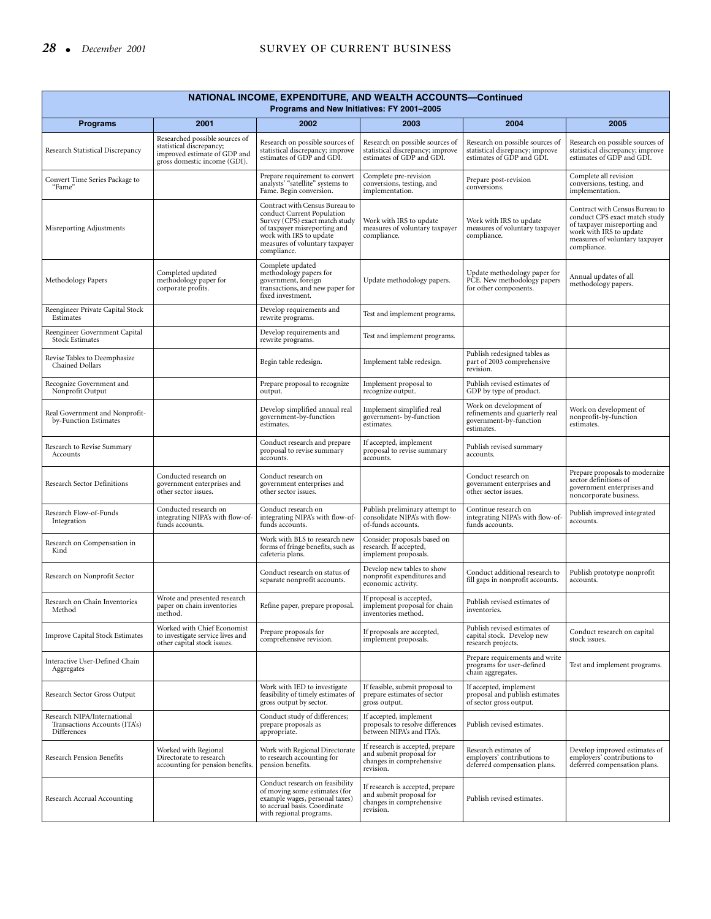# 28 • *December 2001* SURVEY OF CURRENT BUSINESS

| NATIONAL INCOME, EXPENDITURE, AND WEALTH ACCOUNTS-Continued<br>Programs and New Initiatives: FY 2001-2005 |                                                                                                                            |                                                                                                                                                                                                            |                                                                                                      |                                                                                                  |                                                                                                                                                                             |  |
|-----------------------------------------------------------------------------------------------------------|----------------------------------------------------------------------------------------------------------------------------|------------------------------------------------------------------------------------------------------------------------------------------------------------------------------------------------------------|------------------------------------------------------------------------------------------------------|--------------------------------------------------------------------------------------------------|-----------------------------------------------------------------------------------------------------------------------------------------------------------------------------|--|
| <b>Programs</b>                                                                                           | 2001                                                                                                                       | 2002                                                                                                                                                                                                       | 2003                                                                                                 | 2004                                                                                             | 2005                                                                                                                                                                        |  |
| Research Statistical Discrepancy                                                                          | Researched possible sources of<br>statistical discrepancy;<br>improved estimate of GDP and<br>gross domestic income (GDI). | Research on possible sources of<br>statistical discrepancy; improve<br>estimates of GDP and GDI.                                                                                                           | Research on possible sources of<br>statistical discrepancy; improve<br>estimates of GDP and GDI.     | Research on possible sources of<br>statistical disrepancy; improve<br>estimates of GDP and GDI.  | Research on possible sources of<br>statistical discrepancy; improve<br>estimates of GDP and GDI.                                                                            |  |
| Convert Time Series Package to<br>"Fame"                                                                  |                                                                                                                            | Prepare requirement to convert<br>analysts' "satellite" systems to<br>Fame. Begin conversion.                                                                                                              | Complete pre-revision<br>conversions, testing, and<br>implementation.                                | Prepare post-revision<br>conversions.                                                            | Complete all revision<br>conversions, testing, and<br>implementation.                                                                                                       |  |
| Misreporting Adjustments                                                                                  |                                                                                                                            | Contract with Census Bureau to<br>conduct Current Population<br>Survey (CPS) exact match study<br>of taxpayer misreporting and<br>work with IRS to update<br>measures of voluntary taxpayer<br>compliance. | Work with IRS to update<br>measures of voluntary taxpayer<br>compliance.                             | Work with IRS to update<br>measures of voluntary taxpayer<br>compliance.                         | Contract with Census Bureau to<br>conduct CPS exact match study<br>of taxpayer misreporting and<br>work with IRS to update<br>measures of voluntary taxpayer<br>compliance. |  |
| Methodology Papers                                                                                        | Completed updated<br>methodology paper for<br>corporate profits.                                                           | Complete updated<br>methodology papers for<br>government, foreign<br>transactions, and new paper for<br>fixed investment.                                                                                  | Update methodology papers.                                                                           | Update methodology paper for<br>PCE. New methodology papers<br>for other components.             | Annual updates of all<br>methodology papers.                                                                                                                                |  |
| Reengineer Private Capital Stock<br>Estimates                                                             |                                                                                                                            | Develop requirements and<br>rewrite programs.                                                                                                                                                              | Test and implement programs.                                                                         |                                                                                                  |                                                                                                                                                                             |  |
| Reengineer Government Capital<br><b>Stock Estimates</b>                                                   |                                                                                                                            | Develop requirements and<br>rewrite programs.                                                                                                                                                              | Test and implement programs.                                                                         |                                                                                                  |                                                                                                                                                                             |  |
| Revise Tables to Deemphasize<br>Chained Dollars                                                           |                                                                                                                            | Begin table redesign.                                                                                                                                                                                      | Implement table redesign.                                                                            | Publish redesigned tables as<br>part of 2003 comprehensive<br>revision.                          |                                                                                                                                                                             |  |
| Recognize Government and<br>Nonprofit Output                                                              |                                                                                                                            | Prepare proposal to recognize<br>output.                                                                                                                                                                   | Implement proposal to<br>recognize output.                                                           | Publish revised estimates of<br>GDP by type of product.                                          |                                                                                                                                                                             |  |
| Real Government and Nonprofit-<br>by-Function Estimates                                                   |                                                                                                                            | Develop simplified annual real<br>government-by-function<br>estimates.                                                                                                                                     | Implement simplified real<br>government- by-function<br>estimates.                                   | Work on development of<br>refinements and quarterly real<br>government-by-function<br>estimates. | Work on development of<br>nonprofit-by-function<br>estimates.                                                                                                               |  |
| Research to Revise Summary<br>Accounts                                                                    |                                                                                                                            | Conduct research and prepare<br>proposal to revise summary<br>accounts.                                                                                                                                    | If accepted, implement<br>proposal to revise summary<br>accounts.                                    | Publish revised summary<br>accounts.                                                             |                                                                                                                                                                             |  |
| Research Sector Definitions                                                                               | Conducted research on<br>government enterprises and<br>other sector issues.                                                | Conduct research on<br>government enterprises and<br>other sector issues.                                                                                                                                  |                                                                                                      | Conduct research on<br>government enterprises and<br>other sector issues.                        | Prepare proposals to modernize<br>sector definitions of<br>government enterprises and<br>noncorporate business.                                                             |  |
| Research Flow-of-Funds<br>Integration                                                                     | Conducted research on<br>integrating NIPA's with flow-of-<br>funds accounts.                                               | Conduct research on<br>integrating NIPA's with flow-of-<br>funds accounts.                                                                                                                                 | Publish preliminary attempt to<br>consolidate NIPA's with flow-<br>of-funds accounts.                | Continue research on<br>integrating NIPA's with flow-of-<br>funds accounts.                      | Publish improved integrated<br>accounts.                                                                                                                                    |  |
| Research on Compensation in<br>Kind                                                                       |                                                                                                                            | Work with BLS to research new<br>forms of fringe benefits, such as<br>cafeteria plans.                                                                                                                     | Consider proposals based on<br>research. If accepted,<br>implement proposals.                        |                                                                                                  |                                                                                                                                                                             |  |
| Research on Nonprofit Sector                                                                              |                                                                                                                            | Conduct research on status of<br>separate nonprofit accounts.                                                                                                                                              | Develop new tables to show<br>nonprofit expenditures and<br>economic activity.                       | Conduct additional research to<br>fill gaps in nonprofit accounts.                               | Publish prototype nonprofit<br>accounts.                                                                                                                                    |  |
| Research on Chain Inventories<br>Method                                                                   | Wrote and presented research<br>paper on chain inventories<br>method.                                                      | Refine paper, prepare proposal.                                                                                                                                                                            | If proposal is accepted,<br>implement proposal for chain<br>inventories method.                      | Publish revised estimates of<br>inventories.                                                     |                                                                                                                                                                             |  |
| <b>Improve Capital Stock Estimates</b>                                                                    | Worked with Chief Economist<br>to investigate service lives and<br>other capital stock issues.                             | Prepare proposals for<br>comprehensive revision.                                                                                                                                                           | If proposals are accepted,<br>implement proposals.                                                   | Publish revised estimates of<br>capital stock. Develop new<br>research projects.                 | Conduct research on capital<br>stock issues.                                                                                                                                |  |
| Interactive User-Defined Chain<br>Aggregates                                                              |                                                                                                                            |                                                                                                                                                                                                            |                                                                                                      | Prepare requirements and write<br>programs for user-defined<br>chain aggregates.                 | Test and implement programs.                                                                                                                                                |  |
| Research Sector Gross Output                                                                              |                                                                                                                            | Work with IED to investigate<br>feasibility of timely estimates of<br>gross output by sector.                                                                                                              | If feasible, submit proposal to<br>prepare estimates of sector<br>gross output.                      | If accepted, implement<br>proposal and publish estimates<br>of sector gross output.              |                                                                                                                                                                             |  |
| Research NIPA/International<br>Transactions Accounts (ITA's)<br>Differences                               |                                                                                                                            | Conduct study of differences;<br>prepare proposals as<br>appropriate.                                                                                                                                      | If accepted, implement<br>proposals to resolve differences<br>between NIPA's and ITA's.              | Publish revised estimates.                                                                       |                                                                                                                                                                             |  |
| Research Pension Benefits                                                                                 | Worked with Regional<br>Directorate to research<br>accounting for pension benefits.                                        | Work with Regional Directorate<br>to research accounting for<br>pension benefits.                                                                                                                          | If research is accepted, prepare<br>and submit proposal for<br>changes in comprehensive<br>revision. | Research estimates of<br>employers' contributions to<br>deferred compensation plans.             | Develop improved estimates of<br>employers' contributions to<br>deferred compensation plans.                                                                                |  |
| Research Accrual Accounting                                                                               |                                                                                                                            | Conduct research on feasibility<br>of moving some estimates (for<br>example wages, personal taxes)<br>to accrual basis. Coordinate<br>with regional programs.                                              | If research is accepted, prepare<br>and submit proposal for<br>changes in comprehensive<br>revision. | Publish revised estimates.                                                                       |                                                                                                                                                                             |  |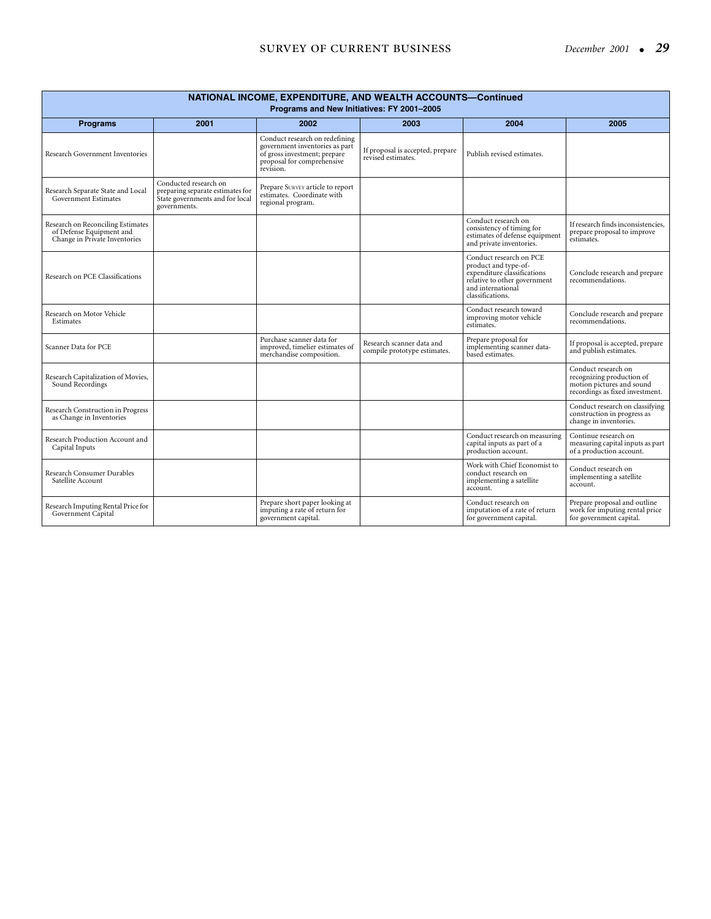| NATIONAL INCOME, EXPENDITURE, AND WEALTH ACCOUNTS-Continued<br>Programs and New Initiatives: FY 2001-2005 |                                                                                                              |                                                                                                                                             |                                                           |                                                                                                                                                         |                                                                                                                  |  |  |
|-----------------------------------------------------------------------------------------------------------|--------------------------------------------------------------------------------------------------------------|---------------------------------------------------------------------------------------------------------------------------------------------|-----------------------------------------------------------|---------------------------------------------------------------------------------------------------------------------------------------------------------|------------------------------------------------------------------------------------------------------------------|--|--|
| <b>Programs</b>                                                                                           | 2001                                                                                                         | 2002                                                                                                                                        | 2003                                                      | 2004                                                                                                                                                    | 2005                                                                                                             |  |  |
| Research Government Inventories                                                                           |                                                                                                              | Conduct research on redefining<br>government inventories as part<br>of gross investment; prepare<br>proposal for comprehensive<br>revision. | If proposal is accepted, prepare<br>revised estimates.    | Publish revised estimates.                                                                                                                              |                                                                                                                  |  |  |
| Research Separate State and Local<br><b>Government Estimates</b>                                          | Conducted research on<br>preparing separate estimates for<br>State governments and for local<br>governments. | Prepare SURVEY article to report<br>estimates. Coordinate with<br>regional program.                                                         |                                                           |                                                                                                                                                         |                                                                                                                  |  |  |
| Research on Reconciling Estimates<br>of Defense Equipment and<br>Change in Private Inventories            |                                                                                                              |                                                                                                                                             |                                                           | Conduct research on<br>consistency of timing for<br>estimates of defense equipment<br>and private inventories.                                          | If research finds inconsistencies,<br>prepare proposal to improve<br>estimates.                                  |  |  |
| Research on PCE Classifications                                                                           |                                                                                                              |                                                                                                                                             |                                                           | Conduct research on PCE<br>product and type-of-<br>expenditure classifications<br>relative to other government<br>and international<br>classifications. | Conclude research and prepare<br>recommendations.                                                                |  |  |
| Research on Motor Vehicle<br>Estimates                                                                    |                                                                                                              |                                                                                                                                             |                                                           | Conduct research toward<br>improving motor vehicle<br>estimates.                                                                                        | Conclude research and prepare<br>recommendations.                                                                |  |  |
| Scanner Data for PCE                                                                                      |                                                                                                              | Purchase scanner data for<br>improved, timelier estimates of<br>merchandise composition.                                                    | Research scanner data and<br>compile prototype estimates. | Prepare proposal for<br>implementing scanner data-<br>based estimates.                                                                                  | If proposal is accepted, prepare<br>and publish estimates.                                                       |  |  |
| Research Capitalization of Movies,<br>Sound Recordings                                                    |                                                                                                              |                                                                                                                                             |                                                           |                                                                                                                                                         | Conduct research on<br>recognizing production of<br>motion pictures and sound<br>recordings as fixed investment. |  |  |
| Research Construction in Progress<br>as Change in Inventories                                             |                                                                                                              |                                                                                                                                             |                                                           |                                                                                                                                                         | Conduct research on classifying<br>construction in progress as<br>change in inventories.                         |  |  |
| Research Production Account and<br>Capital Inputs                                                         |                                                                                                              |                                                                                                                                             |                                                           | Conduct research on measuring<br>capital inputs as part of a<br>production account.                                                                     | Continue research on<br>measuring capital inputs as part<br>of a production account.                             |  |  |
| Research Consumer Durables<br>Satellite Account                                                           |                                                                                                              |                                                                                                                                             |                                                           | Work with Chief Economist to<br>conduct research on<br>implementing a satellite<br>account.                                                             | Conduct research on<br>implementing a satellite<br>account.                                                      |  |  |
| Research Imputing Rental Price for<br>Government Capital                                                  |                                                                                                              | Prepare short paper looking at<br>imputing a rate of return for<br>government capital.                                                      |                                                           | Conduct research on<br>imputation of a rate of return<br>for government capital.                                                                        | Prepare proposal and outline<br>work for imputing rental price<br>for government capital.                        |  |  |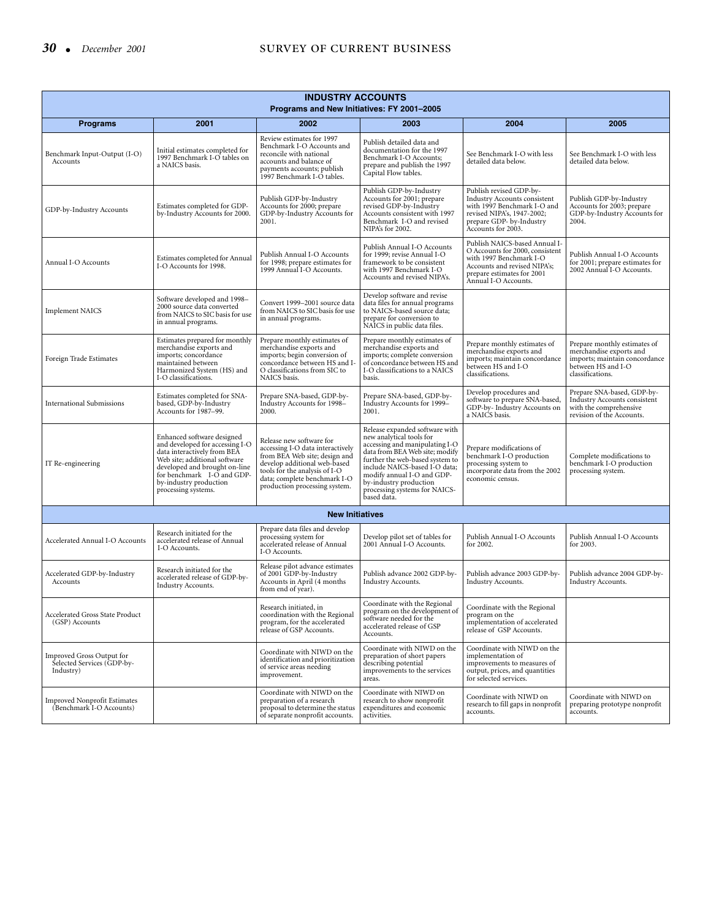| <b>INDUSTRY ACCOUNTS</b><br>Programs and New Initiatives: FY 2001-2005 |                                                                                                                                                                                                                                               |                                                                                                                                                                                                                                 |                                                                                                                                                                                                                                                                                                            |                                                                                                                                                                                   |                                                                                                                                    |  |
|------------------------------------------------------------------------|-----------------------------------------------------------------------------------------------------------------------------------------------------------------------------------------------------------------------------------------------|---------------------------------------------------------------------------------------------------------------------------------------------------------------------------------------------------------------------------------|------------------------------------------------------------------------------------------------------------------------------------------------------------------------------------------------------------------------------------------------------------------------------------------------------------|-----------------------------------------------------------------------------------------------------------------------------------------------------------------------------------|------------------------------------------------------------------------------------------------------------------------------------|--|
| <b>Programs</b>                                                        | 2001                                                                                                                                                                                                                                          | 2002                                                                                                                                                                                                                            | 2003                                                                                                                                                                                                                                                                                                       | 2004                                                                                                                                                                              | 2005                                                                                                                               |  |
| Benchmark Input-Output (I-O)<br>Accounts                               | Initial estimates completed for<br>1997 Benchmark I-O tables on<br>a NAICS basis.                                                                                                                                                             | Review estimates for 1997<br>Benchmark I-O Accounts and<br>reconcile with national<br>accounts and balance of<br>payments accounts; publish<br>1997 Benchmark I-O tables.                                                       | Publish detailed data and<br>documentation for the 1997<br>Benchmark I-O Accounts;<br>prepare and publish the 1997<br>Capital Flow tables.                                                                                                                                                                 | See Benchmark I-O with less<br>detailed data below.                                                                                                                               | See Benchmark I-O with less<br>detailed data below.                                                                                |  |
| GDP-by-Industry Accounts                                               | Estimates completed for GDP-<br>by-Industry Accounts for 2000.                                                                                                                                                                                | Publish GDP-by-Industry<br>Accounts for 2000; prepare<br>GDP-by-Industry Accounts for<br>2001.                                                                                                                                  | Publish GDP-by-Industry<br>Accounts for 2001; prepare<br>revised GDP-by-Industry<br>Accounts consistent with 1997<br>Benchmark I-O and revised<br>NIPA's for 2002.                                                                                                                                         | Publish revised GDP-by-<br>Industry Accounts consistent<br>with 1997 Benchmark I-O and<br>revised NIPA's, 1947-2002;<br>prepare GDP- by-Industry<br>Accounts for 2003.            | Publish GDP-by-Industry<br>Accounts for 2003; prepare<br>GDP-by-Industry Accounts for<br>2004.                                     |  |
| Annual I-O Accounts                                                    | Estimates completed for Annual<br>I-O Accounts for 1998.                                                                                                                                                                                      | Publish Annual I-O Accounts<br>for 1998; prepare estimates for<br>1999 Annual I-O Accounts.                                                                                                                                     | Publish Annual I-O Accounts<br>for 1999; revise Annual I-O<br>framework to be consistent<br>with 1997 Benchmark I-O<br>Accounts and revised NIPA's.                                                                                                                                                        | Publish NAICS-based Annual I-<br>O Accounts for 2000, consistent<br>with 1997 Benchmark I-O<br>Accounts and revised NIPA's;<br>prepare estimates for 2001<br>Annual I-O Accounts. | Publish Annual I-O Accounts<br>for 2001; prepare estimates for<br>2002 Annual I-O Accounts.                                        |  |
| <b>Implement NAICS</b>                                                 | Software developed and 1998-<br>2000 source data converted<br>from NAICS to SIC basis for use<br>in annual programs.                                                                                                                          | Convert 1999–2001 source data<br>from NAICS to SIC basis for use<br>in annual programs.                                                                                                                                         | Develop software and revise<br>data files for annual programs<br>to NAICS-based source data;<br>prepare for conversion to<br>NAICS in public data files.                                                                                                                                                   |                                                                                                                                                                                   |                                                                                                                                    |  |
| Foreign Trade Estimates                                                | Estimates prepared for monthly<br>merchandise exports and<br>imports; concordance<br>maintained between<br>Harmonized System (HS) and<br>I-O classifications.                                                                                 | Prepare monthly estimates of<br>merchandise exports and<br>imports; begin conversion of<br>concordance between HS and I-<br>O classifications from SIC to<br>NAICS basis.                                                       | Prepare monthly estimates of<br>merchandise exports and<br>imports; complete conversion<br>of concordance between HS and<br>I-O classifications to a NAICS<br>basis.                                                                                                                                       | Prepare monthly estimates of<br>merchandise exports and<br>imports; maintain concordance<br>between HS and I-O<br>classifications.                                                | Prepare monthly estimates of<br>merchandise exports and<br>imports; maintain concordance<br>between HS and I-O<br>classifications. |  |
| <b>International Submissions</b>                                       | Estimates completed for SNA-<br>based, GDP-by-Industry<br>Accounts for 1987–99.                                                                                                                                                               | Prepare SNA-based, GDP-by-<br>Industry Accounts for 1998-<br>2000.                                                                                                                                                              | Prepare SNA-based, GDP-by-<br>Industry Accounts for 1999-<br>2001.                                                                                                                                                                                                                                         | Develop procedures and<br>software to prepare SNA-based,<br>GDP-by- Industry Accounts on<br>a NAICS basis.                                                                        | Prepare SNA-based, GDP-by-<br>Industry Accounts consistent<br>with the comprehensive<br>revision of the Accounts.                  |  |
| IT Re-engineering                                                      | Enhanced software designed<br>and developed for accessing I-O<br>data interactively from BEA<br>Web site; additional software<br>developed and brought on-line<br>for benchmark I-O and GDP-<br>by-industry production<br>processing systems. | Release new software for<br>accessing I-O data interactively<br>from BEA Web site; design and<br>develop additional web-based<br>tools for the analysis of I-O<br>data; complete benchmark I-O<br>production processing system. | Release expanded software with<br>new analytical tools for<br>accessing and manipulating I-O<br>data from BEA Web site; modify<br>further the web-based system to<br>include NAICS-based I-O data;<br>modify annual I-O and GDP-<br>by-industry production<br>processing systems for NAICS-<br>based data. | Prepare modifications of<br>benchmark I-O production<br>processing system to<br>incorporate data from the 2002<br>economic census.                                                | Complete modifications to<br>benchmark I-O production<br>processing system.                                                        |  |
|                                                                        |                                                                                                                                                                                                                                               | <b>New Initiatives</b>                                                                                                                                                                                                          |                                                                                                                                                                                                                                                                                                            |                                                                                                                                                                                   |                                                                                                                                    |  |
| Accelerated Annual I-O Accounts                                        | Research initiated for the<br>accelerated release of Annual<br>I-O Accounts.                                                                                                                                                                  | Prepare data files and develop<br>processing system for<br>accelerated release of Annual<br>I-O Accounts.                                                                                                                       | Develop pilot set of tables for<br>2001 Annual I-O Accounts.                                                                                                                                                                                                                                               | Publish Annual I-O Accounts<br>for 2002.                                                                                                                                          | Publish Annual I-O Accounts<br>for 2003.                                                                                           |  |
| Accelerated GDP-by-Industry<br>Accounts                                | Research initiated for the<br>accelerated release of GDP-by-<br>Industry Accounts.                                                                                                                                                            | Release pilot advance estimates<br>of 2001 GDP-by-Industry<br>Accounts in April (4 months<br>from end of year).                                                                                                                 | Publish advance 2002 GDP-by-<br>Industry Accounts.                                                                                                                                                                                                                                                         | Publish advance 2003 GDP-by-<br>Industry Accounts.                                                                                                                                | Publish advance 2004 GDP-by-<br>Industry Accounts.                                                                                 |  |
| Accelerated Gross State Product<br>(GSP) Accounts                      |                                                                                                                                                                                                                                               | Research initiated, in<br>coordination with the Regional<br>program, for the accelerated<br>release of GSP Accounts.                                                                                                            | Coordinate with the Regional<br>program on the development of<br>software needed for the<br>accelerated release of GSP<br>Accounts.                                                                                                                                                                        | Coordinate with the Regional<br>program on the<br>implementation of accelerated<br>release of GSP Accounts.                                                                       |                                                                                                                                    |  |
| Improved Gross Output for<br>Selected Services (GDP-by-<br>Industry)   |                                                                                                                                                                                                                                               | Coordinate with NIWD on the<br>identification and prioritization<br>of service areas needing<br>improvement.                                                                                                                    | Coordinate with NIWD on the<br>preparation of short papers<br>describing potential<br>improvements to the services<br>areas.                                                                                                                                                                               | Coordinate with NIWD on the<br>implementation of<br>improvements to measures of<br>output, prices, and quantities<br>for selected services.                                       |                                                                                                                                    |  |
| <b>Improved Nonprofit Estimates</b><br>(Benchmark I-O Accounts)        |                                                                                                                                                                                                                                               | Coordinate with NIWD on the<br>preparation of a research<br>proposal to determine the status<br>of separate nonprofit accounts.                                                                                                 | Coordinate with NIWD on<br>research to show nonprofit<br>expenditures and economic<br>activities.                                                                                                                                                                                                          | Coordinate with NIWD on<br>research to fill gaps in nonprofit<br>accounts.                                                                                                        | Coordinate with NIWD on<br>preparing prototype nonprofit<br>accounts.                                                              |  |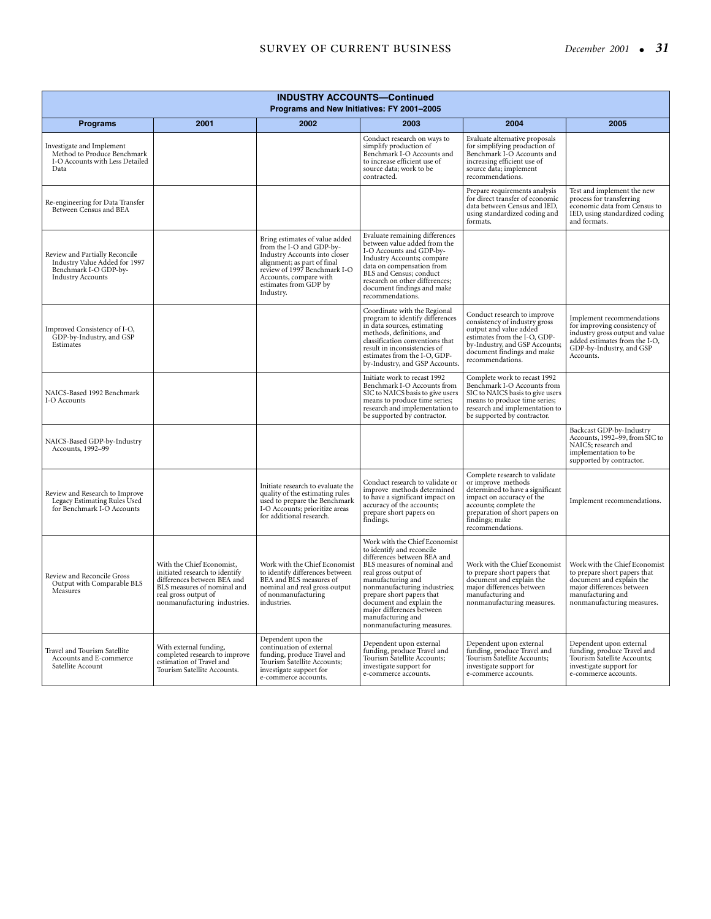| <b>INDUSTRY ACCOUNTS-Continued</b><br>Programs and New Initiatives: FY 2001-2005                                     |                                                                                                                                                                                   |                                                                                                                                                                                                                            |                                                                                                                                                                                                                                                                                                                                                |                                                                                                                                                                                                                        |                                                                                                                                                                           |  |
|----------------------------------------------------------------------------------------------------------------------|-----------------------------------------------------------------------------------------------------------------------------------------------------------------------------------|----------------------------------------------------------------------------------------------------------------------------------------------------------------------------------------------------------------------------|------------------------------------------------------------------------------------------------------------------------------------------------------------------------------------------------------------------------------------------------------------------------------------------------------------------------------------------------|------------------------------------------------------------------------------------------------------------------------------------------------------------------------------------------------------------------------|---------------------------------------------------------------------------------------------------------------------------------------------------------------------------|--|
| <b>Programs</b>                                                                                                      | 2001                                                                                                                                                                              | 2002                                                                                                                                                                                                                       | 2003                                                                                                                                                                                                                                                                                                                                           | 2004                                                                                                                                                                                                                   | 2005                                                                                                                                                                      |  |
| Investigate and Implement<br>Method to Produce Benchmark<br>I-O Accounts with Less Detailed<br>Data                  |                                                                                                                                                                                   |                                                                                                                                                                                                                            | Conduct research on ways to<br>simplify production of<br>Benchmark I-O Accounts and<br>to increase efficient use of<br>source data; work to be<br>contracted.                                                                                                                                                                                  | Evaluate alternative proposals<br>for simplifying production of<br>Benchmark I-O Accounts and<br>increasing efficient use of<br>source data; implement<br>recommendations.                                             |                                                                                                                                                                           |  |
| Re-engineering for Data Transfer<br>Between Census and BEA                                                           |                                                                                                                                                                                   |                                                                                                                                                                                                                            |                                                                                                                                                                                                                                                                                                                                                | Prepare requirements analysis<br>for direct transfer of economic<br>data between Census and IED,<br>using standardized coding and<br>formats.                                                                          | Test and implement the new<br>process for transferring<br>economic data from Census to<br>IED, using standardized coding<br>and formats.                                  |  |
| Review and Partially Reconcile<br>Industry Value Added for 1997<br>Benchmark I-O GDP-by-<br><b>Industry Accounts</b> |                                                                                                                                                                                   | Bring estimates of value added<br>from the I-O and GDP-by-<br>Industry Accounts into closer<br>alignment; as part of final<br>review of 1997 Benchmark I-O<br>Accounts, compare with<br>estimates from GDP by<br>Industry. | Evaluate remaining differences<br>between value added from the<br>I-O Accounts and GDP-by-<br>Industry Accounts; compare<br>data on compensation from<br>BLS and Census; conduct<br>research on other differences;<br>document findings and make<br>recommendations.                                                                           |                                                                                                                                                                                                                        |                                                                                                                                                                           |  |
| Improved Consistency of I-O,<br>GDP-by-Industry, and GSP<br>Estimates                                                |                                                                                                                                                                                   |                                                                                                                                                                                                                            | Coordinate with the Regional<br>program to identify differences<br>in data sources, estimating<br>methods, definitions, and<br>classification conventions that<br>result in inconsistencies of<br>estimates from the I-O, GDP-<br>by-Industry, and GSP Accounts.                                                                               | Conduct research to improve<br>consistency of industry gross<br>output and value added<br>estimates from the I-O, GDP-<br>by-Industry, and GSP Accounts;<br>document findings and make<br>recommendations.             | Implement recommendations<br>for improving consistency of<br>industry gross output and value<br>added estimates from the I-O,<br>GDP-by-Industry, and GSP<br>Accounts.    |  |
| NAICS-Based 1992 Benchmark<br>I-O Accounts                                                                           |                                                                                                                                                                                   |                                                                                                                                                                                                                            | Initiate work to recast 1992<br>Benchmark I-O Accounts from<br>SIC to NAICS basis to give users<br>means to produce time series;<br>research and implementation to<br>be supported by contractor.                                                                                                                                              | Complete work to recast 1992<br>Benchmark I-O Accounts from<br>SIC to NAICS basis to give users<br>means to produce time series;<br>research and implementation to<br>be supported by contractor.                      |                                                                                                                                                                           |  |
| NAICS-Based GDP-by-Industry<br>Accounts, 1992-99                                                                     |                                                                                                                                                                                   |                                                                                                                                                                                                                            |                                                                                                                                                                                                                                                                                                                                                |                                                                                                                                                                                                                        | Backcast GDP-by-Industry<br>Accounts, 1992–99, from SIC to<br>NAICS; research and<br>implementation to be<br>supported by contractor.                                     |  |
| Review and Research to Improve<br>Legacy Estimating Rules Used<br>for Benchmark I-O Accounts                         |                                                                                                                                                                                   | Initiate research to evaluate the<br>quality of the estimating rules<br>used to prepare the Benchmark<br>I-O Accounts; prioritize areas<br>for additional research.                                                        | Conduct research to validate or<br>improve methods determined<br>to have a significant impact on<br>accuracy of the accounts;<br>prepare short papers on<br>findings.                                                                                                                                                                          | Complete research to validate<br>or improve methods<br>determined to have a significant<br>impact on accuracy of the<br>accounts; complete the<br>preparation of short papers on<br>findings; make<br>recommendations. | Implement recommendations.                                                                                                                                                |  |
| Review and Reconcile Gross<br>Output with Comparable BLS<br>Measures                                                 | With the Chief Economist,<br>initiated research to identify<br>differences between BEA and<br>BLS measures of nominal and<br>real gross output of<br>nonmanufacturing industries. | Work with the Chief Economist<br>to identify differences between<br>BEA and BLS measures of<br>nominal and real gross output<br>of nonmanufacturing<br>industries.                                                         | Work with the Chief Economist<br>to identify and reconcile<br>differences between BEA and<br>BLS measures of nominal and<br>real gross output of<br>manufacturing and<br>nonmanufacturing industries;<br>prepare short papers that<br>document and explain the<br>major differences between<br>manufacturing and<br>nonmanufacturing measures. | Work with the Chief Economist<br>to prepare short papers that<br>document and explain the<br>major differences between<br>manufacturing and<br>nonmanufacturing measures.                                              | Work with the Chief Economist<br>to prepare short papers that<br>document and explain the<br>major differences between<br>manufacturing and<br>nonmanufacturing measures. |  |
| Travel and Tourism Satellite<br>Accounts and E-commerce<br>Satellite Account                                         | With external funding,<br>completed research to improve<br>estimation of Travel and<br>Tourism Satellite Accounts.                                                                | Dependent upon the<br>continuation of external<br>funding, produce Travel and<br>Tourism Satellite Accounts;<br>investigate support for<br>e-commerce accounts.                                                            | Dependent upon external<br>funding, produce Travel and<br>Tourism Satellite Accounts;<br>investigate support for<br>e-commerce accounts.                                                                                                                                                                                                       | Dependent upon external<br>funding, produce Travel and<br>Tourism Satellite Accounts;<br>investigate support for<br>e-commerce accounts.                                                                               | Dependent upon external<br>funding, produce Travel and<br>Tourism Satellite Accounts;<br>investigate support for<br>e-commerce accounts.                                  |  |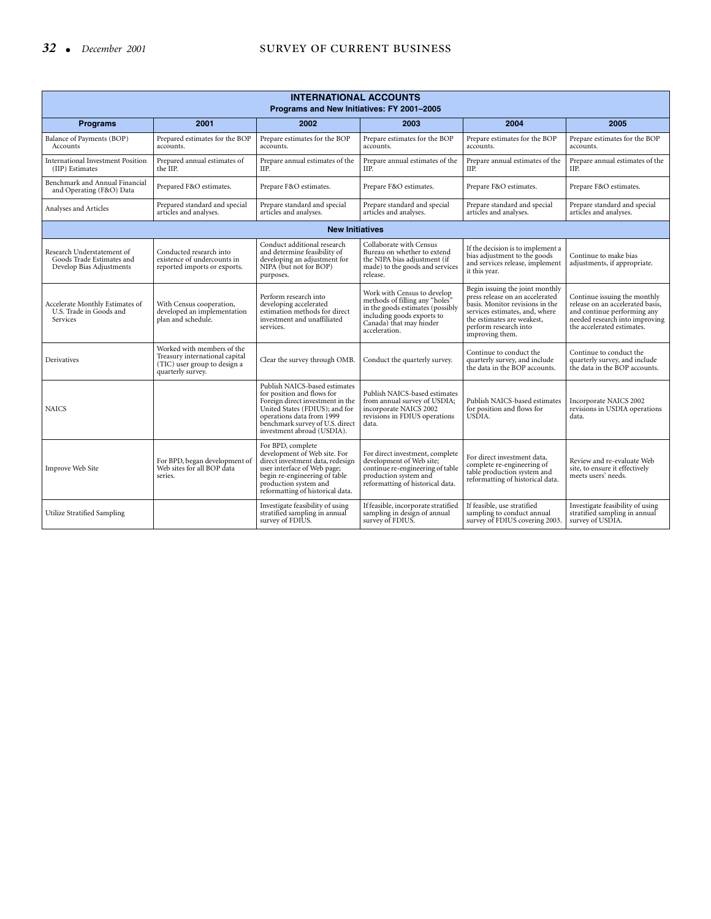| <b>INTERNATIONAL ACCOUNTS</b><br>Programs and New Initiatives: FY 2001-2005         |                                                                                                                   |                                                                                                                                                                                                                                 |                                                                                                                                                                             |                                                                                                                                                                                                                   |                                                                                                                                                                 |  |  |
|-------------------------------------------------------------------------------------|-------------------------------------------------------------------------------------------------------------------|---------------------------------------------------------------------------------------------------------------------------------------------------------------------------------------------------------------------------------|-----------------------------------------------------------------------------------------------------------------------------------------------------------------------------|-------------------------------------------------------------------------------------------------------------------------------------------------------------------------------------------------------------------|-----------------------------------------------------------------------------------------------------------------------------------------------------------------|--|--|
| <b>Programs</b>                                                                     | 2001                                                                                                              | 2002                                                                                                                                                                                                                            | 2003                                                                                                                                                                        | 2004                                                                                                                                                                                                              | 2005                                                                                                                                                            |  |  |
| Balance of Payments (BOP)<br>Accounts                                               | Prepared estimates for the BOP<br>accounts.                                                                       | Prepare estimates for the BOP<br>accounts.                                                                                                                                                                                      | Prepare estimates for the BOP<br>accounts.                                                                                                                                  | Prepare estimates for the BOP<br>accounts.                                                                                                                                                                        | Prepare estimates for the BOP<br>accounts.                                                                                                                      |  |  |
| <b>International Investment Position</b><br>(IIP) Estimates                         | Prepared annual estimates of<br>the IIP.                                                                          | Prepare annual estimates of the<br>IIP.                                                                                                                                                                                         | Prepare annual estimates of the<br>IIP.                                                                                                                                     | Prepare annual estimates of the<br>IIP.                                                                                                                                                                           | Prepare annual estimates of the<br>IIP.                                                                                                                         |  |  |
| Benchmark and Annual Financial<br>and Operating (F&O) Data                          | Prepared F&O estimates.                                                                                           | Prepare F&O estimates.                                                                                                                                                                                                          | Prepare F&O estimates.                                                                                                                                                      | Prepare F&O estimates.                                                                                                                                                                                            | Prepare F&O estimates.                                                                                                                                          |  |  |
| Analyses and Articles                                                               | Prepared standard and special<br>articles and analyses.                                                           | Prepare standard and special<br>articles and analyses.                                                                                                                                                                          | Prepare standard and special<br>articles and analyses.                                                                                                                      | Prepare standard and special<br>articles and analyses.                                                                                                                                                            | Prepare standard and special<br>articles and analyses.                                                                                                          |  |  |
|                                                                                     |                                                                                                                   | <b>New Initiatives</b>                                                                                                                                                                                                          |                                                                                                                                                                             |                                                                                                                                                                                                                   |                                                                                                                                                                 |  |  |
| Research Understatement of<br>Goods Trade Estimates and<br>Develop Bias Adjustments | Conducted research into<br>existence of undercounts in<br>reported imports or exports.                            | Conduct additional research<br>and determine feasibility of<br>developing an adjustment for<br>NIPA (but not for BOP)<br>purposes.                                                                                              | Collaborate with Census<br>Bureau on whether to extend<br>the NIPA bias adjustment (if<br>made) to the goods and services<br>release.                                       | If the decision is to implement a<br>bias adjustment to the goods<br>and services release, implement<br>it this year.                                                                                             | Continue to make bias<br>adjustments, if appropriate.                                                                                                           |  |  |
| Accelerate Monthly Estimates of<br>U.S. Trade in Goods and<br>Services              | With Census cooperation,<br>developed an implementation<br>plan and schedule.                                     | Perform research into<br>developing accelerated<br>estimation methods for direct<br>investment and unaffiliated<br>services.                                                                                                    | Work with Census to develop<br>methods of filling any "holes"<br>in the goods estimates (possibly<br>including goods exports to<br>Canada) that may hinder<br>acceleration. | Begin issuing the joint monthly<br>press release on an accelerated<br>basis. Monitor revisions in the<br>services estimates, and, where<br>the estimates are weakest,<br>perform research into<br>improving them. | Continue issuing the monthly<br>release on an accelerated basis,<br>and continue performing any<br>needed research into improving<br>the accelerated estimates. |  |  |
| Derivatives                                                                         | Worked with members of the<br>Treasury international capital<br>(TIC) user group to design a<br>quarterly survey. | Clear the survey through OMB.                                                                                                                                                                                                   | Conduct the quarterly survey.                                                                                                                                               | Continue to conduct the<br>quarterly survey, and include<br>the data in the BOP accounts.                                                                                                                         | Continue to conduct the<br>quarterly survey, and include<br>the data in the BOP accounts.                                                                       |  |  |
| <b>NAICS</b>                                                                        |                                                                                                                   | Publish NAICS-based estimates<br>for position and flows for<br>Foreign direct investment in the<br>United States (FDIUS); and for<br>operations data from 1999<br>benchmark survey of U.S. direct<br>investment abroad (USDIA). | Publish NAICS-based estimates<br>from annual survey of USDIA;<br>incorporate NAICS 2002<br>revisions in FDIUS operations<br>data.                                           | Publish NAICS-based estimates<br>for position and flows for<br>USĐIA.                                                                                                                                             | Incorporate NAICS 2002<br>revisions in USDIA operations<br>data.                                                                                                |  |  |
| Improve Web Site                                                                    | For BPD, began development of<br>Web sites for all BOP data<br>series.                                            | For BPD, complete<br>development of Web site. For<br>direct investment data, redesign<br>user interface of Web page;<br>begin re-engineering of table<br>production system and<br>reformatting of historical data.              | For direct investment, complete<br>development of Web site;<br>continue re-engineering of table<br>production system and<br>reformatting of historical data.                | For direct investment data,<br>complete re-engineering of<br>table production system and<br>reformatting of historical data.                                                                                      | Review and re-evaluate Web<br>site, to ensure it effectively<br>meets users' needs.                                                                             |  |  |
| <b>Utilize Stratified Sampling</b>                                                  |                                                                                                                   | Investigate feasibility of using<br>stratified sampling in annual<br>survey of FDIUS.                                                                                                                                           | If feasible, incorporate stratified<br>sampling in design of annual<br>survey of FDIUS.                                                                                     | If feasible, use stratified<br>sampling to conduct annual<br>survey of FDIUS covering 2003.                                                                                                                       | Investigate feasibility of using<br>stratified sampling in annual<br>survey of USDIA.                                                                           |  |  |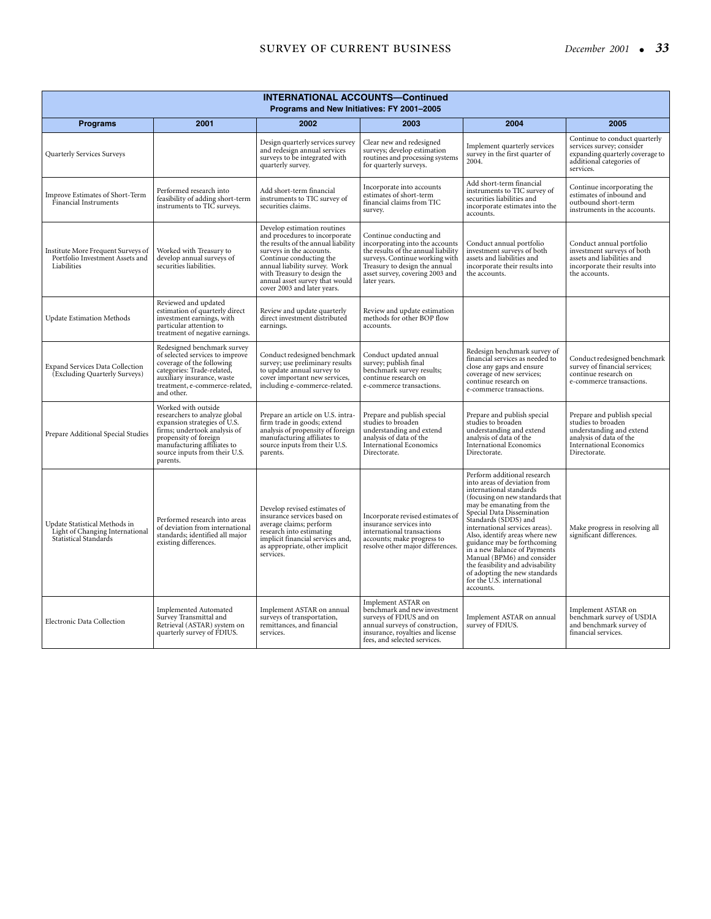## **SURVEY OF CURRENT BUSINESS** December 2001 • 33

| <b>INTERNATIONAL ACCOUNTS-Continued</b><br>Programs and New Initiatives: FY 2001-2005            |                                                                                                                                                                                                                           |                                                                                                                                                                                                                                                                                             |                                                                                                                                                                                                                         |                                                                                                                                                                                                                                                                                                                                                                                                                                                                                               |                                                                                                                                                            |  |
|--------------------------------------------------------------------------------------------------|---------------------------------------------------------------------------------------------------------------------------------------------------------------------------------------------------------------------------|---------------------------------------------------------------------------------------------------------------------------------------------------------------------------------------------------------------------------------------------------------------------------------------------|-------------------------------------------------------------------------------------------------------------------------------------------------------------------------------------------------------------------------|-----------------------------------------------------------------------------------------------------------------------------------------------------------------------------------------------------------------------------------------------------------------------------------------------------------------------------------------------------------------------------------------------------------------------------------------------------------------------------------------------|------------------------------------------------------------------------------------------------------------------------------------------------------------|--|
| <b>Programs</b>                                                                                  | 2001                                                                                                                                                                                                                      | 2002                                                                                                                                                                                                                                                                                        | 2003                                                                                                                                                                                                                    | 2004                                                                                                                                                                                                                                                                                                                                                                                                                                                                                          | 2005                                                                                                                                                       |  |
| Quarterly Services Surveys                                                                       |                                                                                                                                                                                                                           | Design quarterly services survey<br>and redesign annual services<br>surveys to be integrated with<br>quarterly survey.                                                                                                                                                                      | Clear new and redesigned<br>surveys; develop estimation<br>routines and processing systems<br>for quarterly surveys.                                                                                                    | Implement quarterly services<br>survey in the first quarter of<br>2004.                                                                                                                                                                                                                                                                                                                                                                                                                       | Continue to conduct quarterly<br>services survey; consider<br>expanding quarterly coverage to<br>additional categories of<br>services.                     |  |
| Improve Estimates of Short-Term<br>Financial Instruments                                         | Performed research into<br>feasibility of adding short-term<br>instruments to TIC surveys.                                                                                                                                | Add short-term financial<br>instruments to TIC survey of<br>securities claims.                                                                                                                                                                                                              | Incorporate into accounts<br>estimates of short-term<br>financial claims from TIC<br>survey.                                                                                                                            | Add short-term financial<br>instruments to TIC survey of<br>securities liabilities and<br>incorporate estimates into the<br>accounts.                                                                                                                                                                                                                                                                                                                                                         | Continue incorporating the<br>estimates of inbound and<br>outbound short-term<br>instruments in the accounts.                                              |  |
| Institute More Frequent Surveys of<br>Portfolio Investment Assets and<br>Liabilities             | Worked with Treasury to<br>develop annual surveys of<br>securities liabilities.                                                                                                                                           | Develop estimation routines<br>and procedures to incorporate<br>the results of the annual liability<br>surveys in the accounts.<br>Continue conducting the<br>annual liability survey. Work<br>with Treasury to design the<br>annual asset survey that would<br>cover 2003 and later years. | Continue conducting and<br>incorporating into the accounts<br>the results of the annual liability<br>surveys. Continue working with<br>Treasury to design the annual<br>asset survey, covering 2003 and<br>later years. | Conduct annual portfolio<br>investment surveys of both<br>assets and liabilities and<br>incorporate their results into<br>the accounts.                                                                                                                                                                                                                                                                                                                                                       | Conduct annual portfolio<br>investment surveys of both<br>assets and liabilities and<br>incorporate their results into<br>the accounts.                    |  |
| <b>Update Estimation Methods</b>                                                                 | Reviewed and updated<br>estimation of quarterly direct<br>investment earnings, with<br>particular attention to<br>treatment of negative earnings.                                                                         | Review and update quarterly<br>direct investment distributed<br>earnings.                                                                                                                                                                                                                   | Review and update estimation<br>methods for other BOP flow<br>accounts.                                                                                                                                                 |                                                                                                                                                                                                                                                                                                                                                                                                                                                                                               |                                                                                                                                                            |  |
| <b>Expand Services Data Collection</b><br>(Excluding Quarterly Surveys)                          | Redesigned benchmark survey<br>of selected services to improve<br>coverage of the following<br>categories: Trade-related,<br>auxiliary insurance, waste<br>treatment, e-commerce-related,<br>and other.                   | Conduct redesigned benchmark<br>survey; use preliminary results<br>to update annual survey to<br>cover important new services,<br>including e-commerce-related.                                                                                                                             | Conduct updated annual<br>survey; publish final<br>benchmark survey results;<br>continue research on<br>e-commerce transactions.                                                                                        | Redesign benchmark survey of<br>financial services as needed to<br>close any gaps and ensure<br>coverage of new services;<br>continue research on<br>e-commerce transactions.                                                                                                                                                                                                                                                                                                                 | Conduct redesigned benchmark<br>survey of financial services;<br>continue research on<br>e-commerce transactions.                                          |  |
| Prepare Additional Special Studies                                                               | Worked with outside<br>researchers to analyze global<br>expansion strategies of U.S.<br>firms; undertook analysis of<br>propensity of foreign<br>manufacturing affiliates to<br>source inputs from their U.S.<br>parents. | Prepare an article on U.S. intra-<br>firm trade in goods; extend<br>analysis of propensity of foreign<br>manufacturing affiliates to<br>source inputs from their U.S.<br>parents.                                                                                                           | Prepare and publish special<br>studies to broaden<br>understanding and extend<br>analysis of data of the<br><b>International Economics</b><br>Directorate.                                                              | Prepare and publish special<br>studies to broaden<br>understanding and extend<br>analysis of data of the<br><b>International Economics</b><br>Directorate.                                                                                                                                                                                                                                                                                                                                    | Prepare and publish special<br>studies to broaden<br>understanding and extend<br>analysis of data of the<br><b>International Economics</b><br>Directorate. |  |
| Update Statistical Methods in<br>Light of Changing International<br><b>Statistical Standards</b> | Performed research into areas<br>of deviation from international<br>standards; identified all major<br>existing differences.                                                                                              | Develop revised estimates of<br>insurance services based on<br>average claims; perform<br>research into estimating<br>implicit financial services and,<br>as appropriate, other implicit<br>services.                                                                                       | Incorporate revised estimates of<br>insurance services into<br>international transactions<br>accounts; make progress to<br>resolve other major differences.                                                             | Perform additional research<br>into areas of deviation from<br>international standards<br>(focusing on new standards that<br>may be emanating from the<br>Special Data Dissemination<br>Standards (SDDS) and<br>international services areas).<br>Also, identify areas where new<br>guidance may be forthcoming<br>in a new Balance of Payments<br>Manual (BPM6) and consider<br>the feasibility and advisability<br>of adopting the new standards<br>for the U.S. international<br>accounts. | Make progress in resolving all<br>significant differences.                                                                                                 |  |
| Electronic Data Collection                                                                       | <b>Implemented Automated</b><br>Survey Transmittal and<br>Retrieval (ASTAR) system on<br>quarterly survey of FDIUS.                                                                                                       | Implement ASTAR on annual<br>surveys of transportation,<br>remittances, and financial<br>services.                                                                                                                                                                                          | Implement ASTAR on<br>benchmark and new investment<br>surveys of FDIUS and on<br>annual surveys of construction,<br>insurance, royalties and license<br>fees, and selected services.                                    | Implement ASTAR on annual<br>survey of FDIUS.                                                                                                                                                                                                                                                                                                                                                                                                                                                 | Implement ASTAR on<br>benchmark survey of USDIA<br>and benchmark survey of<br>financial services.                                                          |  |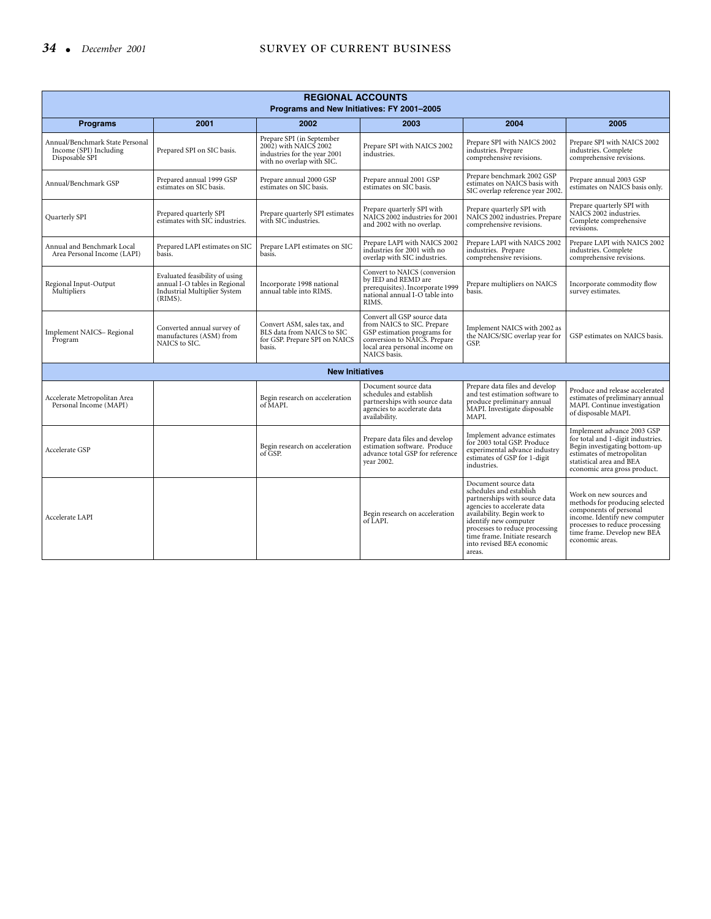| <b>REGIONAL ACCOUNTS</b><br>Programs and New Initiatives: FY 2001-2005      |                                                                                                            |                                                                                                                 |                                                                                                                                                                           |                                                                                                                                                                                                                                                                                   |                                                                                                                                                                                                          |  |
|-----------------------------------------------------------------------------|------------------------------------------------------------------------------------------------------------|-----------------------------------------------------------------------------------------------------------------|---------------------------------------------------------------------------------------------------------------------------------------------------------------------------|-----------------------------------------------------------------------------------------------------------------------------------------------------------------------------------------------------------------------------------------------------------------------------------|----------------------------------------------------------------------------------------------------------------------------------------------------------------------------------------------------------|--|
| <b>Programs</b>                                                             | 2001                                                                                                       | 2002                                                                                                            | 2003                                                                                                                                                                      | 2004                                                                                                                                                                                                                                                                              | 2005                                                                                                                                                                                                     |  |
| Annual/Benchmark State Personal<br>Income (SPI) Including<br>Disposable SPI | Prepared SPI on SIC basis.                                                                                 | Prepare SPI (in September<br>2002) with NAICS 2002<br>industries for the year 2001<br>with no overlap with SIC. | Prepare SPI with NAICS 2002<br>industries.                                                                                                                                | Prepare SPI with NAICS 2002<br>industries. Prepare<br>comprehensive revisions.                                                                                                                                                                                                    | Prepare SPI with NAICS 2002<br>industries. Complete<br>comprehensive revisions.                                                                                                                          |  |
| Annual/Benchmark GSP                                                        | Prepared annual 1999 GSP<br>estimates on SIC basis.                                                        | Prepare annual 2000 GSP<br>estimates on SIC basis.                                                              | Prepare annual 2001 GSP<br>estimates on SIC basis.                                                                                                                        | Prepare benchmark 2002 GSP<br>estimates on NAICS basis with<br>SIC overlap reference year 2002.                                                                                                                                                                                   | Prepare annual 2003 GSP<br>estimates on NAICS basis only.                                                                                                                                                |  |
| Quarterly SPI                                                               | Prepared quarterly SPI<br>estimates with SIC industries.                                                   | Prepare quarterly SPI estimates<br>with SIC industries.                                                         | Prepare quarterly SPI with<br>NAICS 2002 industries for 2001<br>and 2002 with no overlap.                                                                                 | Prepare quarterly SPI with<br>NAICS 2002 industries. Prepare<br>comprehensive revisions.                                                                                                                                                                                          | Prepare quarterly SPI with<br>NAICS 2002 industries.<br>Complete comprehensive<br>revisions.                                                                                                             |  |
| Annual and Benchmark Local<br>Area Personal Income (LAPI)                   | Prepared LAPI estimates on SIC<br>basis.                                                                   | Prepare LAPI estimates on SIC<br>basis.                                                                         | Prepare LAPI with NAICS 2002<br>industries for 2001 with no<br>overlap with SIC industries.                                                                               | Prepare LAPI with NAICS 2002<br>industries. Prepare<br>comprehensive revisions.                                                                                                                                                                                                   | Prepare LAPI with NAICS 2002<br>industries. Complete<br>comprehensive revisions.                                                                                                                         |  |
| Regional Input-Output<br>Multipliers                                        | Evaluated feasibility of using<br>annual I-O tables in Regional<br>Industrial Multiplier System<br>(RIMS). | Incorporate 1998 national<br>annual table into RIMS.                                                            | Convert to NAICS (conversion<br>by IED and REMD are<br>prerequisites). Incorporate 1999<br>national annual I-O table into<br>RIMS.                                        | Prepare multipliers on NAICS<br>basis.                                                                                                                                                                                                                                            | Incorporate commodity flow<br>survey estimates.                                                                                                                                                          |  |
| Implement NAICS-Regional<br>Program                                         | Converted annual survey of<br>manufactures (ASM) from<br>NAICS to SIC.                                     | Convert ASM, sales tax, and<br>BLS data from NAICS to SIC<br>for GSP. Prepare SPI on NAICS<br>basis.            | Convert all GSP source data<br>from NAICS to SIC. Prepare<br>GSP estimation programs for<br>conversion to NAICS. Prepare<br>local area personal income on<br>NAICS basis. | Implement NAICS with 2002 as<br>the NAICS/SIC overlap year for<br>GSP.                                                                                                                                                                                                            | GSP estimates on NAICS basis.                                                                                                                                                                            |  |
|                                                                             |                                                                                                            | <b>New Initiatives</b>                                                                                          |                                                                                                                                                                           |                                                                                                                                                                                                                                                                                   |                                                                                                                                                                                                          |  |
| Accelerate Metropolitan Area<br>Personal Income (MAPI)                      |                                                                                                            | Begin research on acceleration<br>of MAPI.                                                                      | Document source data<br>schedules and establish<br>partnerships with source data<br>agencies to accelerate data<br>availability.                                          | Prepare data files and develop<br>and test estimation software to<br>produce preliminary annual<br>MAPI. Investigate disposable<br>MAPI.                                                                                                                                          | Produce and release accelerated<br>estimates of preliminary annual<br>MAPI. Continue investigation<br>of disposable MAPI.                                                                                |  |
| Accelerate GSP                                                              |                                                                                                            | Begin research on acceleration<br>of GSP.                                                                       | Prepare data files and develop<br>estimation software. Produce<br>advance total GSP for reference<br>vear 2002.                                                           | Implement advance estimates<br>for 2003 total GSP. Produce<br>experimental advance industry<br>estimates of GSP for 1-digit<br>industries.                                                                                                                                        | Implement advance 2003 GSP<br>for total and 1-digit industries.<br>Begin investigating bottom-up<br>estimates of metropolitan<br>statistical area and BEA<br>economic area gross product.                |  |
| Accelerate LAPI                                                             |                                                                                                            |                                                                                                                 | Begin research on acceleration<br>of LAPI.                                                                                                                                | Document source data<br>schedules and establish<br>partnerships with source data<br>agencies to accelerate data<br>availability. Begin work to<br>identify new computer<br>processes to reduce processing<br>time frame. Initiate research<br>into revised BEA economic<br>areas. | Work on new sources and<br>methods for producing selected<br>components of personal<br>income. Identify new computer<br>processes to reduce processing<br>time frame. Develop new BEA<br>economic areas. |  |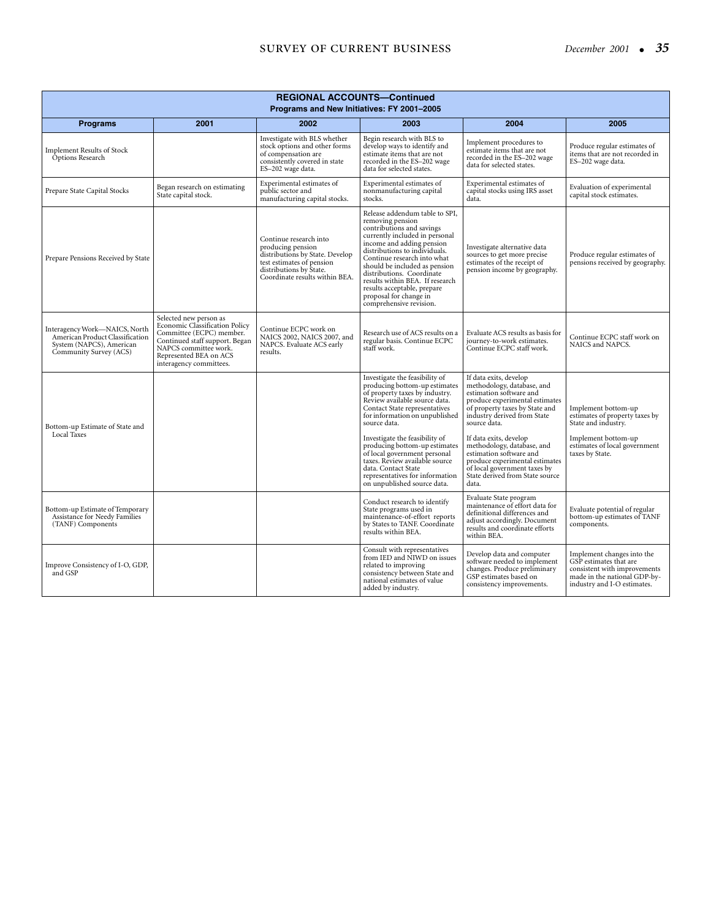## **SURVEY OF CURRENT BUSINESS**

| December 2001 |  |  | 35 |
|---------------|--|--|----|
|---------------|--|--|----|

| <b>REGIONAL ACCOUNTS-Continued</b><br>Programs and New Initiatives: FY 2001-2005                                       |                                                                                                                                                                                                      |                                                                                                                                                                          |                                                                                                                                                                                                                                                                                                                                                                                                                                                     |                                                                                                                                                                                                                                                                                                                                                                                                     |                                                                                                                                                         |  |
|------------------------------------------------------------------------------------------------------------------------|------------------------------------------------------------------------------------------------------------------------------------------------------------------------------------------------------|--------------------------------------------------------------------------------------------------------------------------------------------------------------------------|-----------------------------------------------------------------------------------------------------------------------------------------------------------------------------------------------------------------------------------------------------------------------------------------------------------------------------------------------------------------------------------------------------------------------------------------------------|-----------------------------------------------------------------------------------------------------------------------------------------------------------------------------------------------------------------------------------------------------------------------------------------------------------------------------------------------------------------------------------------------------|---------------------------------------------------------------------------------------------------------------------------------------------------------|--|
| <b>Programs</b>                                                                                                        | 2001                                                                                                                                                                                                 | 2002                                                                                                                                                                     | 2003                                                                                                                                                                                                                                                                                                                                                                                                                                                | 2004                                                                                                                                                                                                                                                                                                                                                                                                | 2005                                                                                                                                                    |  |
| <b>Implement Results of Stock</b><br>Options Research                                                                  |                                                                                                                                                                                                      | Investigate with BLS whether<br>stock options and other forms<br>of compensation are<br>consistently covered in state<br>ES-202 wage data.                               | Begin research with BLS to<br>develop ways to identify and<br>estimate items that are not<br>recorded in the ES-202 wage<br>data for selected states.                                                                                                                                                                                                                                                                                               | Implement procedures to<br>estimate items that are not<br>recorded in the ES-202 wage<br>data for selected states.                                                                                                                                                                                                                                                                                  | Produce regular estimates of<br>items that are not recorded in<br>ES-202 wage data.                                                                     |  |
| Prepare State Capital Stocks                                                                                           | Began research on estimating<br>State capital stock.                                                                                                                                                 | Experimental estimates of<br>public sector and<br>manufacturing capital stocks.                                                                                          | Experimental estimates of<br>nonmanufacturing capital<br>stocks.                                                                                                                                                                                                                                                                                                                                                                                    | Experimental estimates of<br>capital stocks using IRS asset<br>data.                                                                                                                                                                                                                                                                                                                                | Evaluation of experimental<br>capital stock estimates.                                                                                                  |  |
| Prepare Pensions Received by State                                                                                     |                                                                                                                                                                                                      | Continue research into<br>producing pension<br>distributions by State. Develop<br>test estimates of pension<br>distributions by State.<br>Coordinate results within BEA. | Release addendum table to SPI,<br>removing pension<br>contributions and savings<br>currently included in personal<br>income and adding pension<br>distributions to individuals.<br>Continue research into what<br>should be included as pension<br>distributions. Coordinate<br>results within BEA. If research<br>results acceptable, prepare<br>proposal for change in<br>comprehensive revision.                                                 | Investigate alternative data<br>sources to get more precise<br>estimates of the receipt of<br>pension income by geography.                                                                                                                                                                                                                                                                          | Produce regular estimates of<br>pensions received by geography.                                                                                         |  |
| Interagency Work-NAICS, North<br>American Product Classification<br>System (NAPCS), American<br>Community Survey (ACS) | Selected new person as<br>Economic Classification Policy<br>Committee (ECPC) member.<br>Continued staff support. Began<br>NAPCS committee work.<br>Represented BEA on ACS<br>interagency committees. | Continue ECPC work on<br>NAICS 2002, NAICS 2007, and<br>NAPCS. Evaluate ACS early<br>results.                                                                            | Research use of ACS results on a<br>regular basis. Continue ECPC<br>staff work.                                                                                                                                                                                                                                                                                                                                                                     | Evaluate ACS results as basis for<br>journey-to-work estimates.<br>Continue ECPC staff work.                                                                                                                                                                                                                                                                                                        | Continue ECPC staff work on<br>NAICS and NAPCS.                                                                                                         |  |
| Bottom-up Estimate of State and<br>Local Taxes                                                                         |                                                                                                                                                                                                      |                                                                                                                                                                          | Investigate the feasibility of<br>producing bottom-up estimates<br>of property taxes by industry.<br>Review available source data.<br>Contact State representatives<br>for information on unpublished<br>source data.<br>Investigate the feasibility of<br>producing bottom-up estimates<br>of local government personal<br>taxes. Review available source<br>data. Contact State<br>representatives for information<br>on unpublished source data. | If data exits, develop<br>methodology, database, and<br>estimation software and<br>produce experimental estimates<br>of property taxes by State and<br>industry derived from State<br>source data.<br>If data exits, develop<br>methodology, database, and<br>estimation software and<br>produce experimental estimates<br>of local government taxes by<br>State derived from State source<br>data. | Implement bottom-up<br>estimates of property taxes by<br>State and industry.<br>Implement bottom-up<br>estimates of local government<br>taxes by State. |  |
| Bottom-up Estimate of Temporary<br>Assistance for Needy Families<br>(TANF) Components                                  |                                                                                                                                                                                                      |                                                                                                                                                                          | Conduct research to identify<br>State programs used in<br>maintenance-of-effort reports<br>by States to TANF. Coordinate<br>results within BEA.                                                                                                                                                                                                                                                                                                     | Evaluate State program<br>maintenance of effort data for<br>definitional differences and<br>adjust accordingly. Document<br>results and coordinate efforts<br>within BEA.                                                                                                                                                                                                                           | Evaluate potential of regular<br>bottom-up estimates of TANF<br>components.                                                                             |  |
| Improve Consistency of I-O, GDP,<br>and GSP                                                                            |                                                                                                                                                                                                      |                                                                                                                                                                          | Consult with representatives<br>from IED and NIWD on issues<br>related to improving<br>consistency between State and<br>national estimates of value<br>added by industry.                                                                                                                                                                                                                                                                           | Develop data and computer<br>software needed to implement<br>changes. Produce preliminary<br>GSP estimates based on<br>consistency improvements.                                                                                                                                                                                                                                                    | Implement changes into the<br>GSP estimates that are<br>consistent with improvements<br>made in the national GDP-by-<br>industry and I-O estimates.     |  |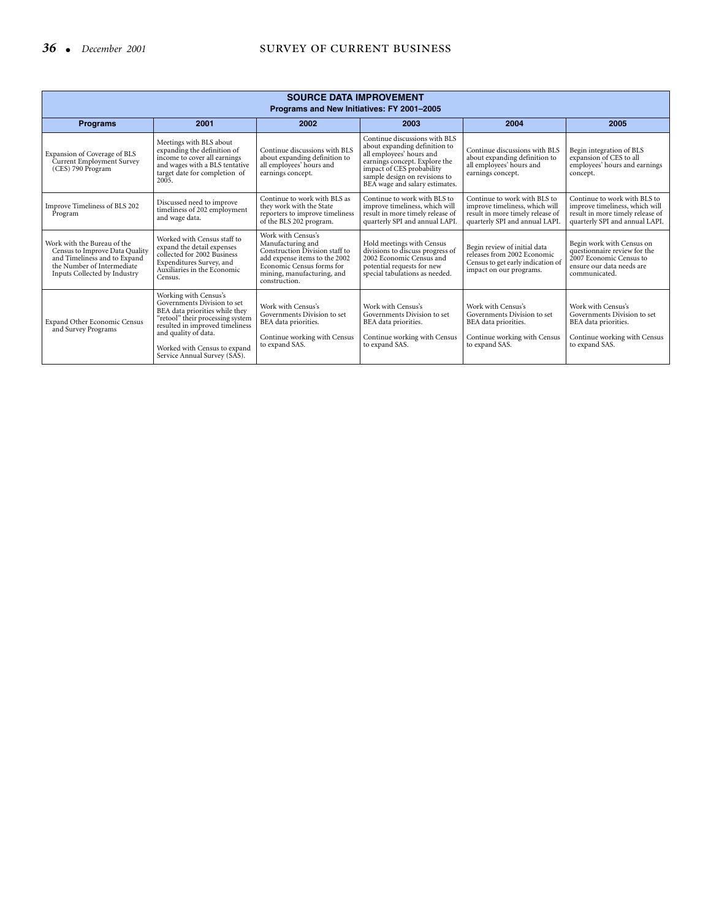| <b>SOURCE DATA IMPROVEMENT</b><br>Programs and New Initiatives: FY 2001-2005                                                                                |                                                                                                                                                                                                                                                       |                                                                                                                                                                                        |                                                                                                                                                                                                                             |                                                                                                                                      |                                                                                                                                      |  |  |
|-------------------------------------------------------------------------------------------------------------------------------------------------------------|-------------------------------------------------------------------------------------------------------------------------------------------------------------------------------------------------------------------------------------------------------|----------------------------------------------------------------------------------------------------------------------------------------------------------------------------------------|-----------------------------------------------------------------------------------------------------------------------------------------------------------------------------------------------------------------------------|--------------------------------------------------------------------------------------------------------------------------------------|--------------------------------------------------------------------------------------------------------------------------------------|--|--|
| <b>Programs</b>                                                                                                                                             | 2001                                                                                                                                                                                                                                                  | 2002                                                                                                                                                                                   | 2003                                                                                                                                                                                                                        | 2004                                                                                                                                 | 2005                                                                                                                                 |  |  |
| Expansion of Coverage of BLS<br>Current Employment Survey<br>(CES) 790 Program                                                                              | Meetings with BLS about<br>expanding the definition of<br>income to cover all earnings<br>and wages with a BLS tentative<br>target date for completion of<br>2005.                                                                                    | Continue discussions with BLS<br>about expanding definition to<br>all employees' hours and<br>earnings concept.                                                                        | Continue discussions with BLS<br>about expanding definition to<br>all employees' hours and<br>earnings concept. Explore the<br>impact of CES probability<br>sample design on revisions to<br>BEA wage and salary estimates. | Continue discussions with BLS<br>about expanding definition to<br>all employees' hours and<br>earnings concept.                      | Begin integration of BLS<br>expansion of CES to all<br>employees' hours and earnings<br>concept.                                     |  |  |
| Improve Timeliness of BLS 202<br>Program                                                                                                                    | Discussed need to improve<br>timeliness of 202 employment<br>and wage data.                                                                                                                                                                           | Continue to work with BLS as<br>they work with the State<br>reporters to improve timeliness<br>of the BLS 202 program.                                                                 | Continue to work with BLS to<br>improve timeliness, which will<br>result in more timely release of<br>quarterly SPI and annual LAPI.                                                                                        | Continue to work with BLS to<br>improve timeliness, which will<br>result in more timely release of<br>quarterly SPI and annual LAPI. | Continue to work with BLS to<br>improve timeliness, which will<br>result in more timely release of<br>quarterly SPI and annual LAPI. |  |  |
| Work with the Bureau of the<br>Census to Improve Data Quality<br>and Timeliness and to Expand<br>the Number of Intermediate<br>Inputs Collected by Industry | Worked with Census staff to<br>expand the detail expenses<br>collected for 2002 Business<br>Expenditures Survey, and<br>Auxiliaries in the Economic<br>Census.                                                                                        | Work with Census's<br>Manufacturing and<br>Construction Division staff to<br>add expense items to the 2002<br>Economic Census forms for<br>mining, manufacturing, and<br>construction. | Hold meetings with Census<br>divisions to discuss progress of<br>2002 Economic Census and<br>potential requests for new<br>special tabulations as needed.                                                                   | Begin review of initial data<br>releases from 2002 Economic<br>Census to get early indication of<br>impact on our programs.          | Begin work with Census on<br>questionnaire review for the<br>2007 Economic Census to<br>ensure our data needs are<br>communicated.   |  |  |
| Expand Other Economic Census<br>and Survey Programs                                                                                                         | Working with Census's<br>Governments Division to set<br>BEA data priorities while they<br>"retool" their processing system<br>resulted in improved timeliness<br>and quality of data.<br>Worked with Census to expand<br>Service Annual Survey (SAS). | Work with Census's<br>Governments Division to set<br>BEA data priorities.<br>Continue working with Census<br>to expand SAS.                                                            | Work with Census's<br>Governments Division to set<br>BEA data priorities.<br>Continue working with Census<br>to expand SAS.                                                                                                 | Work with Census's<br>Governments Division to set<br>BEA data priorities.<br>Continue working with Census<br>to expand SAS.          | Work with Census's<br>Governments Division to set<br>BEA data priorities.<br>Continue working with Census<br>to expand SAS.          |  |  |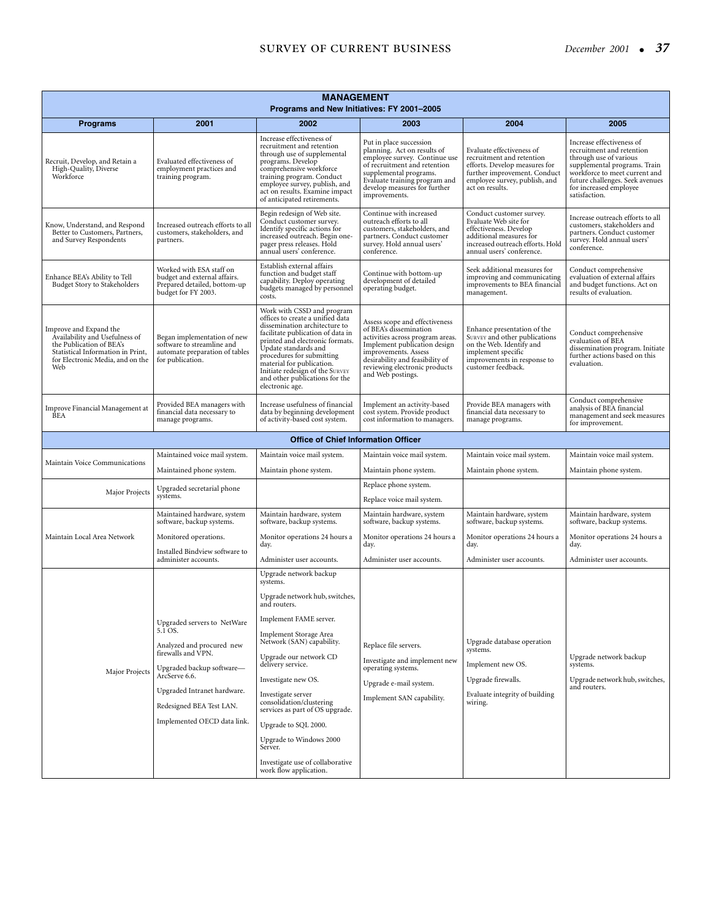| <b>MANAGEMENT</b><br>Programs and New Initiatives: FY 2001-2005                                                                                                      |                                                                                                                 |                                                                                                                                                                                                                                                                                                                                                   |                                                                                                                                                                                                                                               |                                                                                                                                                                             |                                                                                                                                                                                                                                 |  |
|----------------------------------------------------------------------------------------------------------------------------------------------------------------------|-----------------------------------------------------------------------------------------------------------------|---------------------------------------------------------------------------------------------------------------------------------------------------------------------------------------------------------------------------------------------------------------------------------------------------------------------------------------------------|-----------------------------------------------------------------------------------------------------------------------------------------------------------------------------------------------------------------------------------------------|-----------------------------------------------------------------------------------------------------------------------------------------------------------------------------|---------------------------------------------------------------------------------------------------------------------------------------------------------------------------------------------------------------------------------|--|
| <b>Programs</b>                                                                                                                                                      | 2001                                                                                                            | 2002                                                                                                                                                                                                                                                                                                                                              | 2003                                                                                                                                                                                                                                          | 2004                                                                                                                                                                        | 2005                                                                                                                                                                                                                            |  |
| Recruit, Develop, and Retain a<br>High-Quality, Diverse<br>Workforce                                                                                                 | Evaluated effectiveness of<br>employment practices and<br>training program.                                     | Increase effectiveness of<br>recruitment and retention<br>through use of supplemental<br>programs. Develop<br>comprehensive workforce<br>training program. Conduct<br>employee survey, publish, and<br>act on results. Examine impact<br>of anticipated retirements.                                                                              | Put in place succession<br>planning. Act on results of<br>employee survey. Continue use<br>of recruitment and retention<br>supplemental programs.<br>Evaluate training program and<br>develop measures for further<br>improvements.           | Evaluate effectiveness of<br>recruitment and retention<br>efforts. Develop measures for<br>further improvement. Conduct<br>employee survey, publish, and<br>act on results. | Increase effectiveness of<br>recruitment and retention<br>through use of various<br>supplemental programs. Train<br>workforce to meet current and<br>future challenges. Seek avenues<br>for increased employee<br>satisfaction. |  |
| Know, Understand, and Respond<br>Better to Customers, Partners,<br>and Survey Respondents                                                                            | Increased outreach efforts to all<br>customers, stakeholders, and<br>partners.                                  | Begin redesign of Web site.<br>Conduct customer survey.<br>Identify specific actions for<br>increased outreach. Begin one-<br>pager press releases. Hold<br>annual users' conference.                                                                                                                                                             | Continue with increased<br>outreach efforts to all<br>customers, stakeholders, and<br>partners. Conduct customer<br>survey. Hold annual users'<br>conference.                                                                                 | Conduct customer survey.<br>Evaluate Web site for<br>effectiveness. Develop<br>additional measures for<br>increased outreach efforts. Hold<br>annual users' conference.     | Increase outreach efforts to all<br>customers, stakeholders and<br>partners. Conduct customer<br>survey. Hold annual users'<br>conference.                                                                                      |  |
| Enhance BEA's Ability to Tell<br>Budget Story to Stakeholders                                                                                                        | Worked with ESA staff on<br>budget and external affairs.<br>Prepared detailed, bottom-up<br>budget for FY 2003. | Establish external affairs<br>function and budget staff<br>capability. Deploy operating<br>budgets managed by personnel<br>costs.                                                                                                                                                                                                                 | Continue with bottom-up<br>development of detailed<br>operating budget.                                                                                                                                                                       | Seek additional measures for<br>improving and communicating<br>improvements to BEA financial<br>management.                                                                 | Conduct comprehensive<br>evaluation of external affairs<br>and budget functions. Act on<br>results of evaluation.                                                                                                               |  |
| Improve and Expand the<br>Availability and Usefulness of<br>the Publication of BEA's<br>Statistical Information in Print,<br>for Electronic Media, and on the<br>Web | Began implementation of new<br>software to streamline and<br>automate preparation of tables<br>for publication. | Work with CSSD and program<br>offices to create a unified data<br>dissemination architecture to<br>facilitate publication of data in<br>printed and electronic formats.<br>Update standards and<br>procedures for submitting<br>material for publication.<br>Initiate redesign of the SURVEY<br>and other publications for the<br>electronic age. | Assess scope and effectiveness<br>of BEA's dissemination<br>activities across program areas.<br>Implement publication design<br>improvements. Assess<br>desirability and feasibility of<br>reviewing electronic products<br>and Web postings. | Enhance presentation of the<br>SURVEY and other publications<br>on the Web. Identify and<br>implement specific<br>improvements in response to<br>customer feedback.         | Conduct comprehensive<br>evaluation of BEA<br>dissemination program. Initiate<br>further actions based on this<br>evaluation.                                                                                                   |  |
| Improve Financial Management at<br><b>BEA</b>                                                                                                                        | Provided BEA managers with<br>financial data necessary to<br>manage programs.                                   | Increase usefulness of financial<br>data by beginning development<br>of activity-based cost system.                                                                                                                                                                                                                                               | Implement an activity-based<br>cost system. Provide product<br>cost information to managers.                                                                                                                                                  | Provide BEA managers with<br>financial data necessary to<br>manage programs.                                                                                                | Conduct comprehensive<br>analysis of BEA financial<br>management and seek measures<br>for improvement.                                                                                                                          |  |
|                                                                                                                                                                      |                                                                                                                 | <b>Office of Chief Information Officer</b>                                                                                                                                                                                                                                                                                                        |                                                                                                                                                                                                                                               |                                                                                                                                                                             |                                                                                                                                                                                                                                 |  |
| Maintain Voice Communications                                                                                                                                        | Maintained voice mail system.                                                                                   | Maintain voice mail system.                                                                                                                                                                                                                                                                                                                       | Maintain voice mail system.                                                                                                                                                                                                                   | Maintain voice mail system.                                                                                                                                                 | Maintain voice mail system.                                                                                                                                                                                                     |  |
|                                                                                                                                                                      | Maintained phone system.                                                                                        | Maintain phone system.                                                                                                                                                                                                                                                                                                                            | Maintain phone system.                                                                                                                                                                                                                        | Maintain phone system.                                                                                                                                                      | Maintain phone system.                                                                                                                                                                                                          |  |
| Major Projects                                                                                                                                                       | Upgraded secretarial phone<br>systems.                                                                          |                                                                                                                                                                                                                                                                                                                                                   | Replace phone system.<br>Replace voice mail system.                                                                                                                                                                                           |                                                                                                                                                                             |                                                                                                                                                                                                                                 |  |
|                                                                                                                                                                      | Maintained hardware, system<br>software, backup systems.                                                        | Maintain hardware, system<br>software, backup systems.                                                                                                                                                                                                                                                                                            | Maintain hardware, system<br>software, backup systems.                                                                                                                                                                                        | Maintain hardware, system<br>software, backup systems.                                                                                                                      | Maintain hardware, system<br>software, backup systems.                                                                                                                                                                          |  |
| Maintain Local Area Network                                                                                                                                          | Monitored operations.                                                                                           | Monitor operations 24 hours a<br>day.                                                                                                                                                                                                                                                                                                             | Monitor operations 24 hours a<br>day.                                                                                                                                                                                                         | Monitor operations 24 hours a<br>day.                                                                                                                                       | Monitor operations 24 hours a<br>day.                                                                                                                                                                                           |  |
|                                                                                                                                                                      | Installed Bindview software to<br>administer accounts.                                                          | Administer user accounts.                                                                                                                                                                                                                                                                                                                         | Administer user accounts.                                                                                                                                                                                                                     | Administer user accounts.                                                                                                                                                   | Administer user accounts.                                                                                                                                                                                                       |  |
|                                                                                                                                                                      |                                                                                                                 | Upgrade network backup                                                                                                                                                                                                                                                                                                                            |                                                                                                                                                                                                                                               |                                                                                                                                                                             |                                                                                                                                                                                                                                 |  |
|                                                                                                                                                                      |                                                                                                                 | systems.<br>Upgrade network hub, switches,<br>and routers.                                                                                                                                                                                                                                                                                        |                                                                                                                                                                                                                                               |                                                                                                                                                                             |                                                                                                                                                                                                                                 |  |
|                                                                                                                                                                      | Upgraded servers to NetWare<br>5.1 OS.                                                                          | Implement FAME server.                                                                                                                                                                                                                                                                                                                            |                                                                                                                                                                                                                                               |                                                                                                                                                                             |                                                                                                                                                                                                                                 |  |
|                                                                                                                                                                      | Analyzed and procured new                                                                                       | Implement Storage Area<br>Network (SAN) capability.                                                                                                                                                                                                                                                                                               | Replace file servers.                                                                                                                                                                                                                         | Upgrade database operation<br>systems.                                                                                                                                      |                                                                                                                                                                                                                                 |  |
|                                                                                                                                                                      | firewalls and VPN.<br>Upgraded backup software-                                                                 | Upgrade our network CD<br>delivery service.                                                                                                                                                                                                                                                                                                       | Investigate and implement new<br>operating systems.                                                                                                                                                                                           | Implement new OS.                                                                                                                                                           | Upgrade network backup<br>systems.                                                                                                                                                                                              |  |
| Major Projects                                                                                                                                                       | ArcServe 6.6.                                                                                                   | Investigate new OS.                                                                                                                                                                                                                                                                                                                               | Upgrade e-mail system.                                                                                                                                                                                                                        | Upgrade firewalls.                                                                                                                                                          | Upgrade network hub, switches,                                                                                                                                                                                                  |  |
|                                                                                                                                                                      | Upgraded Intranet hardware.<br>Redesigned BEA Test LAN.                                                         | Investigate server<br>consolidation/clustering<br>services as part of OS upgrade.                                                                                                                                                                                                                                                                 | Implement SAN capability.                                                                                                                                                                                                                     | Evaluate integrity of building<br>wiring.                                                                                                                                   | and routers.                                                                                                                                                                                                                    |  |
|                                                                                                                                                                      | Implemented OECD data link.                                                                                     | Upgrade to SQL 2000.                                                                                                                                                                                                                                                                                                                              |                                                                                                                                                                                                                                               |                                                                                                                                                                             |                                                                                                                                                                                                                                 |  |
|                                                                                                                                                                      |                                                                                                                 | Upgrade to Windows 2000<br>Server.                                                                                                                                                                                                                                                                                                                |                                                                                                                                                                                                                                               |                                                                                                                                                                             |                                                                                                                                                                                                                                 |  |
|                                                                                                                                                                      |                                                                                                                 | Investigate use of collaborative<br>work flow application.                                                                                                                                                                                                                                                                                        |                                                                                                                                                                                                                                               |                                                                                                                                                                             |                                                                                                                                                                                                                                 |  |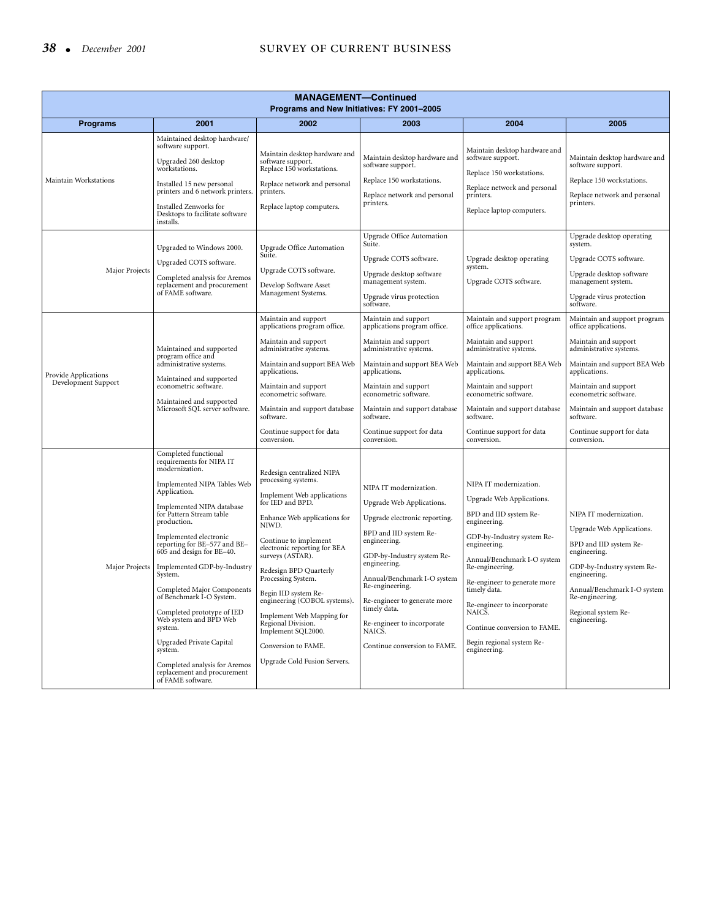# 38 • *December 2001* SURVEY OF CURRENT BUSINESS

| <b>MANAGEMENT-Continued</b><br>Programs and New Initiatives: FY 2001-2005 |                                                                                                                                                                                                                                                                                                                                                                                                                                                                                                                                                                                            |                                                                                                                                                                                                                                                                                                                                                                                                                                                                  |                                                                                                                                                                                                                                                                                                                                                        |                                                                                                                                                                                                                                                                                                                                                                    |                                                                                                                                                                                                                                                                                                     |  |  |  |  |
|---------------------------------------------------------------------------|--------------------------------------------------------------------------------------------------------------------------------------------------------------------------------------------------------------------------------------------------------------------------------------------------------------------------------------------------------------------------------------------------------------------------------------------------------------------------------------------------------------------------------------------------------------------------------------------|------------------------------------------------------------------------------------------------------------------------------------------------------------------------------------------------------------------------------------------------------------------------------------------------------------------------------------------------------------------------------------------------------------------------------------------------------------------|--------------------------------------------------------------------------------------------------------------------------------------------------------------------------------------------------------------------------------------------------------------------------------------------------------------------------------------------------------|--------------------------------------------------------------------------------------------------------------------------------------------------------------------------------------------------------------------------------------------------------------------------------------------------------------------------------------------------------------------|-----------------------------------------------------------------------------------------------------------------------------------------------------------------------------------------------------------------------------------------------------------------------------------------------------|--|--|--|--|
| <b>Programs</b>                                                           | 2001                                                                                                                                                                                                                                                                                                                                                                                                                                                                                                                                                                                       | 2002                                                                                                                                                                                                                                                                                                                                                                                                                                                             | 2003                                                                                                                                                                                                                                                                                                                                                   | 2004                                                                                                                                                                                                                                                                                                                                                               | 2005                                                                                                                                                                                                                                                                                                |  |  |  |  |
| Maintain Workstations                                                     | Maintained desktop hardware/<br>software support.<br>Upgraded 260 desktop<br>workstations.<br>Installed 15 new personal<br>printers and 6 network printers.<br>Installed Zenworks for<br>Desktops to facilitate software<br>installs.                                                                                                                                                                                                                                                                                                                                                      | Maintain desktop hardware and<br>software support.<br>Replace 150 workstations.<br>Replace network and personal<br>printers.<br>Replace laptop computers.                                                                                                                                                                                                                                                                                                        | Maintain desktop hardware and<br>software support.<br>Replace 150 workstations.<br>Replace network and personal<br>printers.                                                                                                                                                                                                                           | Maintain desktop hardware and<br>software support.<br>Replace 150 workstations.<br>Replace network and personal<br>printers.<br>Replace laptop computers.                                                                                                                                                                                                          | Maintain desktop hardware and<br>software support.<br>Replace 150 workstations.<br>Replace network and personal<br>printers.                                                                                                                                                                        |  |  |  |  |
| Major Projects                                                            | Upgraded to Windows 2000.<br>Upgraded COTS software.<br>Completed analysis for Aremos<br>replacement and procurement<br>of FAME software.                                                                                                                                                                                                                                                                                                                                                                                                                                                  | Upgrade Office Automation<br>Suite.<br>Upgrade COTS software.<br>Develop Software Asset<br>Management Systems.                                                                                                                                                                                                                                                                                                                                                   | <b>Upgrade Office Automation</b><br>Suite.<br>Upgrade COTS software.<br>Upgrade desktop software<br>management system.<br>Upgrade virus protection<br>software.                                                                                                                                                                                        | Upgrade desktop operating<br>system.<br>Upgrade COTS software.                                                                                                                                                                                                                                                                                                     | Upgrade desktop operating<br>system.<br>Upgrade COTS software.<br>Upgrade desktop software<br>management system.<br>Upgrade virus protection<br>software.                                                                                                                                           |  |  |  |  |
| Provide Applications<br>Development Support                               | Maintained and supported<br>program office and<br>administrative systems.<br>Maintained and supported<br>econometric software.<br>Maintained and supported<br>Microsoft SQL server software.                                                                                                                                                                                                                                                                                                                                                                                               | Maintain and support<br>applications program office.<br>Maintain and support<br>administrative systems.<br>Maintain and support BEA Web<br>applications.<br>Maintain and support<br>econometric software.<br>Maintain and support database<br>software.<br>Continue support for data<br>conversion.                                                                                                                                                              | Maintain and support<br>applications program office.<br>Maintain and support<br>administrative systems.<br>Maintain and support BEA Web<br>applications.<br>Maintain and support<br>econometric software.<br>Maintain and support database<br>software.<br>Continue support for data<br>conversion.                                                    | Maintain and support program<br>office applications.<br>Maintain and support<br>administrative systems.<br>Maintain and support BEA Web<br>applications.<br>Maintain and support<br>econometric software.<br>Maintain and support database<br>software.<br>Continue support for data<br>conversion.                                                                | Maintain and support program<br>office applications.<br>Maintain and support<br>administrative systems.<br>Maintain and support BEA Web<br>applications.<br>Maintain and support<br>econometric software.<br>Maintain and support database<br>software.<br>Continue support for data<br>conversion. |  |  |  |  |
| Major Projects                                                            | Completed functional<br>requirements for NIPA IT<br>modernization.<br>Implemented NIPA Tables Web<br>Application.<br>Implemented NIPA database<br>for Pattern Stream table<br>production.<br>Implemented electronic<br>reporting for BE-577 and BE-<br>605 and design for BE-40.<br>Implemented GDP-by-Industry<br>System.<br>Completed Major Components<br>of Benchmark I-O System.<br>Completed prototype of IED<br>Web system and BPD Web<br>system.<br><b>Upgraded Private Capital</b><br>system.<br>Completed analysis for Aremos<br>replacement and procurement<br>of FAME software. | Redesign centralized NIPA<br>processing systems.<br>Implement Web applications<br>for IED and BPD.<br>Enhance Web applications for<br>NIWD.<br>Continue to implement<br>electronic reporting for BEA<br>surveys (ASTAR).<br>Redesign BPD Quarterly<br>Processing System.<br>Begin IID system Re-<br>engineering (COBOL systems).<br>Implement Web Mapping for<br>Regional Division.<br>Implement SQL2000.<br>Conversion to FAME.<br>Upgrade Cold Fusion Servers. | NIPA IT modernization.<br>Upgrade Web Applications.<br>Upgrade electronic reporting.<br>BPD and IID system Re-<br>engineering.<br>GDP-by-Industry system Re-<br>engineering.<br>Annual/Benchmark I-O system<br>Re-engineering.<br>Re-engineer to generate more<br>timely data.<br>Re-engineer to incorporate<br>NAICS.<br>Continue conversion to FAME. | NIPA IT modernization.<br>Upgrade Web Applications.<br>BPD and IID system Re-<br>engineering.<br>GDP-by-Industry system Re-<br>engineering.<br>Annual/Benchmark I-O system<br>Re-engineering.<br>Re-engineer to generate more<br>timely data.<br>Re-engineer to incorporate<br>NAICS.<br>Continue conversion to FAME.<br>Begin regional system Re-<br>engineering. | NIPA IT modernization.<br>Upgrade Web Applications.<br>BPD and IID system Re-<br>engineering.<br>GDP-by-Industry system Re-<br>engineering.<br>Annual/Benchmark I-O system<br>Re-engineering.<br>Regional system Re-<br>engineering.                                                                |  |  |  |  |